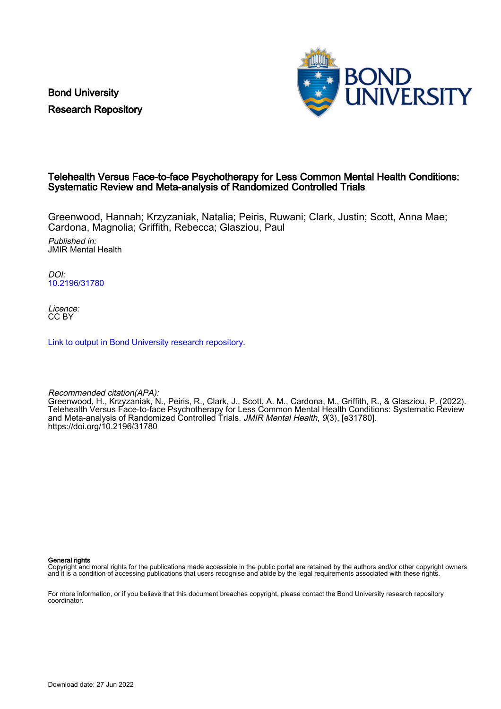Bond University Research Repository



# Telehealth Versus Face-to-face Psychotherapy for Less Common Mental Health Conditions: Systematic Review and Meta-analysis of Randomized Controlled Trials

Greenwood, Hannah; Krzyzaniak, Natalia; Peiris, Ruwani; Clark, Justin; Scott, Anna Mae; Cardona, Magnolia; Griffith, Rebecca; Glasziou, Paul

Published in: JMIR Mental Health

DOI: [10.2196/31780](https://doi.org/10.2196/31780)

Licence: CC BY

[Link to output in Bond University research repository.](https://research.bond.edu.au/en/publications/10c82500-b4f0-4c53-8fa3-923cb370bacf)

Recommended citation(APA): Greenwood, H., Krzyzaniak, N., Peiris, R., Clark, J., Scott, A. M., Cardona, M., Griffith, R., & Glasziou, P. (2022). Telehealth Versus Face-to-face Psychotherapy for Less Common Mental Health Conditions: Systematic Review and Meta-analysis of Randomized Controlled Trials. JMIR Mental Health, 9(3), [e31780]. <https://doi.org/10.2196/31780>

General rights

Copyright and moral rights for the publications made accessible in the public portal are retained by the authors and/or other copyright owners and it is a condition of accessing publications that users recognise and abide by the legal requirements associated with these rights.

For more information, or if you believe that this document breaches copyright, please contact the Bond University research repository coordinator.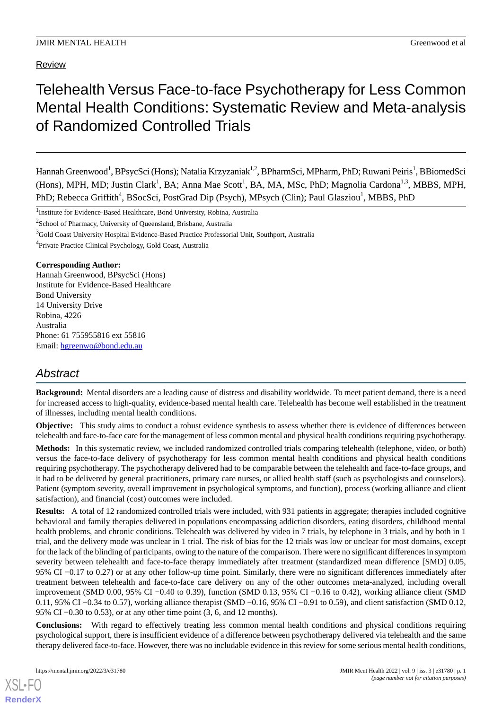Review

# Telehealth Versus Face-to-face Psychotherapy for Less Common Mental Health Conditions: Systematic Review and Meta-analysis of Randomized Controlled Trials

Hannah Greenwood<sup>1</sup>, BPsycSci (Hons); Natalia Krzyzaniak<sup>1,2</sup>, BPharmSci, MPharm, PhD; Ruwani Peiris<sup>1</sup>, BBiomedSci (Hons), MPH, MD; Justin Clark<sup>1</sup>, BA; Anna Mae Scott<sup>1</sup>, BA, MA, MSc, PhD; Magnolia Cardona<sup>1,3</sup>, MBBS, MPH, PhD; Rebecca Griffith<sup>4</sup>, BSocSci, PostGrad Dip (Psych), MPsych (Clin); Paul Glasziou<sup>1</sup>, MBBS, PhD

<sup>1</sup>Institute for Evidence-Based Healthcare, Bond University, Robina, Australia

<sup>2</sup>School of Pharmacy, University of Queensland, Brisbane, Australia

<sup>3</sup>Gold Coast University Hospital Evidence-Based Practice Professorial Unit, Southport, Australia

<sup>4</sup> Private Practice Clinical Psychology, Gold Coast, Australia

#### **Corresponding Author:**

Hannah Greenwood, BPsycSci (Hons) Institute for Evidence-Based Healthcare Bond University 14 University Drive Robina, 4226 Australia Phone: 61 755955816 ext 55816 Email: [hgreenwo@bond.edu.au](mailto:hgreenwo@bond.edu.au)

# *Abstract*

**Background:** Mental disorders are a leading cause of distress and disability worldwide. To meet patient demand, there is a need for increased access to high-quality, evidence-based mental health care. Telehealth has become well established in the treatment of illnesses, including mental health conditions.

**Objective:** This study aims to conduct a robust evidence synthesis to assess whether there is evidence of differences between telehealth and face-to-face care for the management of less common mental and physical health conditions requiring psychotherapy.

**Methods:** In this systematic review, we included randomized controlled trials comparing telehealth (telephone, video, or both) versus the face-to-face delivery of psychotherapy for less common mental health conditions and physical health conditions requiring psychotherapy. The psychotherapy delivered had to be comparable between the telehealth and face-to-face groups, and it had to be delivered by general practitioners, primary care nurses, or allied health staff (such as psychologists and counselors). Patient (symptom severity, overall improvement in psychological symptoms, and function), process (working alliance and client satisfaction), and financial (cost) outcomes were included.

**Results:** A total of 12 randomized controlled trials were included, with 931 patients in aggregate; therapies included cognitive behavioral and family therapies delivered in populations encompassing addiction disorders, eating disorders, childhood mental health problems, and chronic conditions. Telehealth was delivered by video in 7 trials, by telephone in 3 trials, and by both in 1 trial, and the delivery mode was unclear in 1 trial. The risk of bias for the 12 trials was low or unclear for most domains, except for the lack of the blinding of participants, owing to the nature of the comparison. There were no significant differences in symptom severity between telehealth and face-to-face therapy immediately after treatment (standardized mean difference [SMD] 0.05, 95% CI −0.17 to 0.27) or at any other follow-up time point. Similarly, there were no significant differences immediately after treatment between telehealth and face-to-face care delivery on any of the other outcomes meta-analyzed, including overall improvement (SMD 0.00, 95% CI −0.40 to 0.39), function (SMD 0.13, 95% CI −0.16 to 0.42), working alliance client (SMD 0.11, 95% CI −0.34 to 0.57), working alliance therapist (SMD −0.16, 95% CI −0.91 to 0.59), and client satisfaction (SMD 0.12, 95% CI −0.30 to 0.53), or at any other time point (3, 6, and 12 months).

**Conclusions:** With regard to effectively treating less common mental health conditions and physical conditions requiring psychological support, there is insufficient evidence of a difference between psychotherapy delivered via telehealth and the same therapy delivered face-to-face. However, there was no includable evidence in this review for some serious mental health conditions,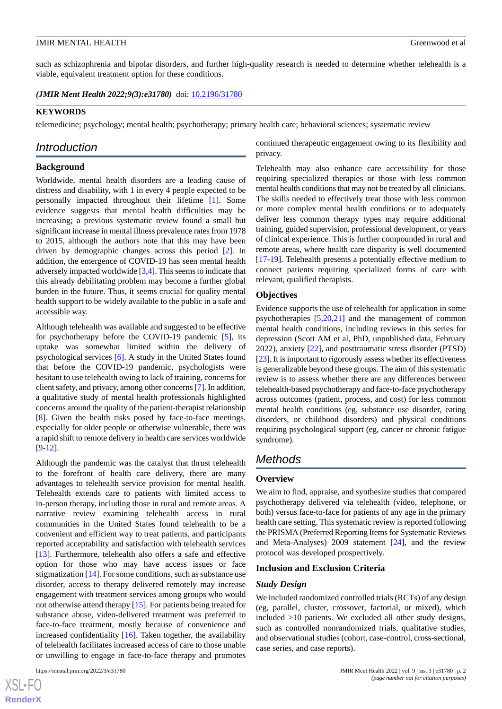such as schizophrenia and bipolar disorders, and further high-quality research is needed to determine whether telehealth is a viable, equivalent treatment option for these conditions.

*(JMIR Ment Health 2022;9(3):e31780)* doi: **[10.2196/31780](http://dx.doi.org/10.2196/31780)** 

#### **KEYWORDS**

telemedicine; psychology; mental health; psychotherapy; primary health care; behavioral sciences; systematic review

# *Introduction*

### **Background**

Worldwide, mental health disorders are a leading cause of distress and disability, with 1 in every 4 people expected to be personally impacted throughout their lifetime [\[1](#page-12-0)]. Some evidence suggests that mental health difficulties may be increasing; a previous systematic review found a small but significant increase in mental illness prevalence rates from 1978 to 2015, although the authors note that this may have been driven by demographic changes across this period [\[2](#page-12-1)]. In addition, the emergence of COVID-19 has seen mental health adversely impacted worldwide [\[3](#page-12-2),[4](#page-12-3)]. This seems to indicate that this already debilitating problem may become a further global burden in the future. Thus, it seems crucial for quality mental health support to be widely available to the public in a safe and accessible way.

Although telehealth was available and suggested to be effective for psychotherapy before the COVID-19 pandemic [\[5](#page-12-4)], its uptake was somewhat limited within the delivery of psychological services [[6\]](#page-13-0). A study in the United States found that before the COVID-19 pandemic, psychologists were hesitant to use telehealth owing to lack of training, concerns for client safety, and privacy, among other concerns [\[7\]](#page-13-1). In addition, a qualitative study of mental health professionals highlighted concerns around the quality of the patient-therapist relationship [[8\]](#page-13-2). Given the health risks posed by face-to-face meetings, especially for older people or otherwise vulnerable, there was a rapid shift to remote delivery in health care services worldwide [[9](#page-13-3)[-12](#page-13-4)].

Although the pandemic was the catalyst that thrust telehealth to the forefront of health care delivery, there are many advantages to telehealth service provision for mental health. Telehealth extends care to patients with limited access to in-person therapy, including those in rural and remote areas. A narrative review examining telehealth access in rural communities in the United States found telehealth to be a convenient and efficient way to treat patients, and participants reported acceptability and satisfaction with telehealth services [[13\]](#page-13-5). Furthermore, telehealth also offers a safe and effective option for those who may have access issues or face stigmatization [\[14](#page-13-6)]. For some conditions, such as substance use disorder, access to therapy delivered remotely may increase engagement with treatment services among groups who would not otherwise attend therapy [[15\]](#page-13-7). For patients being treated for substance abuse, video-delivered treatment was preferred to face-to-face treatment, mostly because of convenience and increased confidentiality [[16\]](#page-13-8). Taken together, the availability of telehealth facilitates increased access of care to those unable or unwilling to engage in face-to-face therapy and promotes

continued therapeutic engagement owing to its flexibility and privacy.

Telehealth may also enhance care accessibility for those requiring specialized therapies or those with less common mental health conditions that may not be treated by all clinicians. The skills needed to effectively treat those with less common or more complex mental health conditions or to adequately deliver less common therapy types may require additional training, guided supervision, professional development, or years of clinical experience. This is further compounded in rural and remote areas, where health care disparity is well documented [[17](#page-13-9)[-19](#page-13-10)]. Telehealth presents a potentially effective medium to connect patients requiring specialized forms of care with relevant, qualified therapists.

#### **Objectives**

Evidence supports the use of telehealth for application in some psychotherapies [[5](#page-12-4)[,20](#page-13-11),[21\]](#page-13-12) and the management of common mental health conditions, including reviews in this series for depression (Scott AM et al, PhD, unpublished data, February 2022), anxiety [[22\]](#page-13-13), and posttraumatic stress disorder (PTSD) [[23\]](#page-13-14). It is important to rigorously assess whether its effectiveness is generalizable beyond these groups. The aim of this systematic review is to assess whether there are any differences between telehealth-based psychotherapy and face-to-face psychotherapy across outcomes (patient, process, and cost) for less common mental health conditions (eg, substance use disorder, eating disorders, or childhood disorders) and physical conditions requiring psychological support (eg, cancer or chronic fatigue syndrome).

# *Methods*

### **Overview**

We aim to find, appraise, and synthesize studies that compared psychotherapy delivered via telehealth (video, telephone, or both) versus face-to-face for patients of any age in the primary health care setting. This systematic review is reported following the PRISMA (Preferred Reporting Items for Systematic Reviews and Meta-Analyses) 2009 statement [\[24](#page-13-15)], and the review protocol was developed prospectively.

#### **Inclusion and Exclusion Criteria**

### *Study Design*

We included randomized controlled trials (RCTs) of any design (eg, parallel, cluster, crossover, factorial, or mixed), which included >10 patients. We excluded all other study designs, such as controlled nonrandomized trials, qualitative studies, and observational studies (cohort, case-control, cross-sectional, case series, and case reports).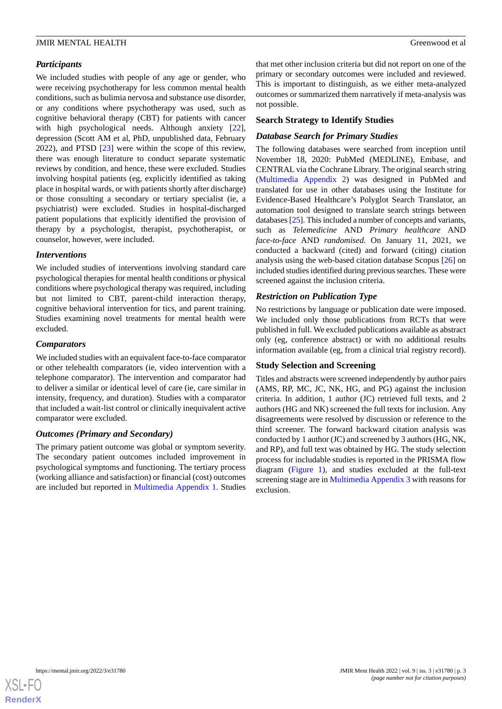### *Participants*

We included studies with people of any age or gender, who were receiving psychotherapy for less common mental health conditions, such as bulimia nervosa and substance use disorder, or any conditions where psychotherapy was used, such as cognitive behavioral therapy (CBT) for patients with cancer with high psychological needs. Although anxiety [[22\]](#page-13-13), depression (Scott AM et al, PhD, unpublished data, February 2022), and PTSD [[23\]](#page-13-14) were within the scope of this review, there was enough literature to conduct separate systematic reviews by condition, and hence, these were excluded. Studies involving hospital patients (eg, explicitly identified as taking place in hospital wards, or with patients shortly after discharge) or those consulting a secondary or tertiary specialist (ie, a psychiatrist) were excluded. Studies in hospital-discharged patient populations that explicitly identified the provision of therapy by a psychologist, therapist, psychotherapist, or counselor, however, were included.

### *Interventions*

We included studies of interventions involving standard care psychological therapies for mental health conditions or physical conditions where psychological therapy was required, including but not limited to CBT, parent-child interaction therapy, cognitive behavioral intervention for tics, and parent training. Studies examining novel treatments for mental health were excluded.

### *Comparators*

We included studies with an equivalent face-to-face comparator or other telehealth comparators (ie, video intervention with a telephone comparator). The intervention and comparator had to deliver a similar or identical level of care (ie, care similar in intensity, frequency, and duration). Studies with a comparator that included a wait-list control or clinically inequivalent active comparator were excluded.

### *Outcomes (Primary and Secondary)*

The primary patient outcome was global or symptom severity. The secondary patient outcomes included improvement in psychological symptoms and functioning. The tertiary process (working alliance and satisfaction) or financial (cost) outcomes are included but reported in [Multimedia Appendix 1](#page-12-5). Studies that met other inclusion criteria but did not report on one of the primary or secondary outcomes were included and reviewed. This is important to distinguish, as we either meta-analyzed outcomes or summarized them narratively if meta-analysis was not possible.

### **Search Strategy to Identify Studies**

#### *Database Search for Primary Studies*

The following databases were searched from inception until November 18, 2020: PubMed (MEDLINE), Embase, and CENTRAL via the Cochrane Library. The original search string ([Multimedia Appendix 2\)](#page-12-6) was designed in PubMed and translated for use in other databases using the Institute for Evidence-Based Healthcare's Polyglot Search Translator, an automation tool designed to translate search strings between databases [\[25](#page-13-16)]. This included a number of concepts and variants, such as *Telemedicine* AND *Primary healthcare* AND *face-to-face* AND *randomised*. On January 11, 2021, we conducted a backward (cited) and forward (citing) citation analysis using the web-based citation database Scopus [[26\]](#page-13-17) on included studies identified during previous searches. These were screened against the inclusion criteria.

### *Restriction on Publication Type*

No restrictions by language or publication date were imposed. We included only those publications from RCTs that were published in full. We excluded publications available as abstract only (eg, conference abstract) or with no additional results information available (eg, from a clinical trial registry record).

#### **Study Selection and Screening**

Titles and abstracts were screened independently by author pairs (AMS, RP, MC, JC, NK, HG, and PG) against the inclusion criteria. In addition, 1 author (JC) retrieved full texts, and 2 authors (HG and NK) screened the full texts for inclusion. Any disagreements were resolved by discussion or reference to the third screener. The forward backward citation analysis was conducted by 1 author (JC) and screened by 3 authors (HG, NK, and RP), and full text was obtained by HG. The study selection process for includable studies is reported in the PRISMA flow diagram ([Figure 1](#page-4-0)), and studies excluded at the full-text screening stage are in [Multimedia Appendix 3](#page-12-7) with reasons for exclusion.

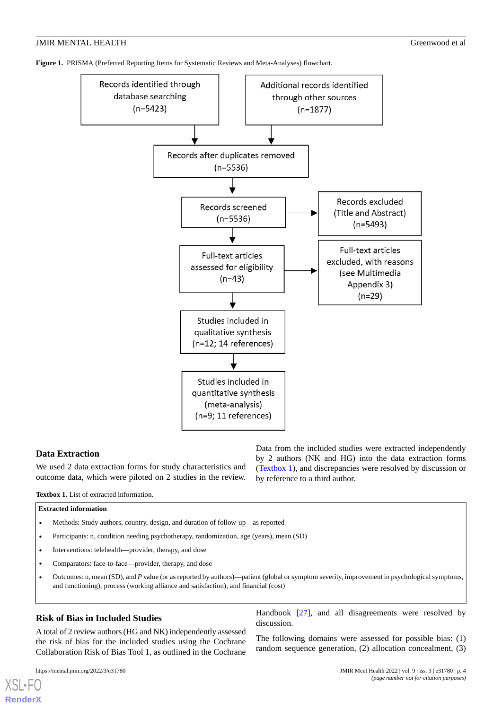<span id="page-4-0"></span>**Figure 1.** PRISMA (Preferred Reporting Items for Systematic Reviews and Meta-Analyses) flowchart.



### <span id="page-4-1"></span>**Data Extraction**

We used 2 data extraction forms for study characteristics and outcome data, which were piloted on 2 studies in the review.

Data from the included studies were extracted independently by 2 authors (NK and HG) into the data extraction forms ([Textbox 1](#page-4-1)), and discrepancies were resolved by discussion or by reference to a third author.

**Textbox 1.** List of extracted information.

#### **Extracted information**

- Methods: Study authors, country, design, and duration of follow-up—as reported
- Participants: n, condition needing psychotherapy, randomization, age (years), mean (SD)
- Interventions: telehealth—provider, therapy, and dose
- Comparators: face-to-face—provider, therapy, and dose
- Outcomes: n, mean (SD), and *P* value (or as reported by authors)—patient (global or symptom severity, improvement in psychological symptoms, and functioning), process (working alliance and satisfaction), and financial (cost)

#### **Risk of Bias in Included Studies**

A total of 2 review authors (HG and NK) independently assessed the risk of bias for the included studies using the Cochrane Collaboration Risk of Bias Tool 1, as outlined in the Cochrane

[XSL](http://www.w3.org/Style/XSL)•FO **[RenderX](http://www.renderx.com/)**

Handbook [[27\]](#page-13-18), and all disagreements were resolved by discussion.

The following domains were assessed for possible bias: (1) random sequence generation, (2) allocation concealment, (3)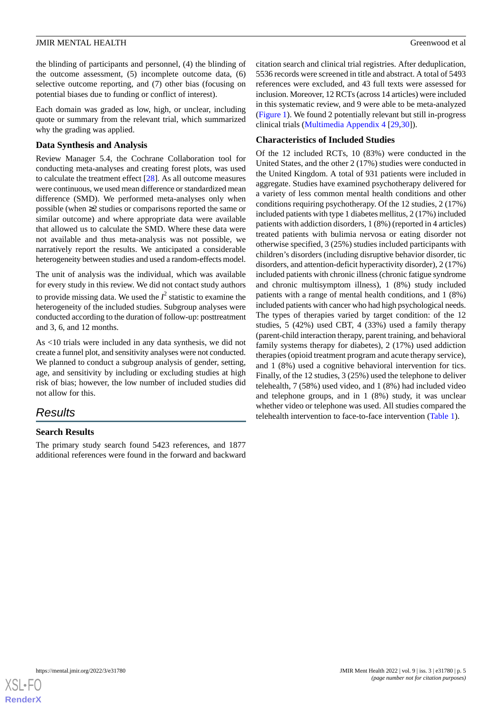the blinding of participants and personnel, (4) the blinding of the outcome assessment, (5) incomplete outcome data, (6) selective outcome reporting, and (7) other bias (focusing on potential biases due to funding or conflict of interest).

Each domain was graded as low, high, or unclear, including quote or summary from the relevant trial, which summarized why the grading was applied.

### **Data Synthesis and Analysis**

Review Manager 5.4, the Cochrane Collaboration tool for conducting meta-analyses and creating forest plots, was used to calculate the treatment effect [[28\]](#page-14-0). As all outcome measures were continuous, we used mean difference or standardized mean difference (SMD). We performed meta-analyses only when possible (when ≥2 studies or comparisons reported the same or similar outcome) and where appropriate data were available that allowed us to calculate the SMD. Where these data were not available and thus meta-analysis was not possible, we narratively report the results. We anticipated a considerable heterogeneity between studies and used a random-effects model.

The unit of analysis was the individual, which was available for every study in this review. We did not contact study authors

to provide missing data. We used the  $I^2$  statistic to examine the heterogeneity of the included studies. Subgroup analyses were conducted according to the duration of follow-up: posttreatment and 3, 6, and 12 months.

As <10 trials were included in any data synthesis, we did not create a funnel plot, and sensitivity analyses were not conducted. We planned to conduct a subgroup analysis of gender, setting, age, and sensitivity by including or excluding studies at high risk of bias; however, the low number of included studies did not allow for this.

# *Results*

### **Search Results**

The primary study search found 5423 references, and 1877 additional references were found in the forward and backward

citation search and clinical trial registries. After deduplication, 5536 records were screened in title and abstract. A total of 5493 references were excluded, and 43 full texts were assessed for inclusion. Moreover, 12 RCTs (across 14 articles) were included in this systematic review, and 9 were able to be meta-analyzed ([Figure 1](#page-4-0)). We found 2 potentially relevant but still in-progress clinical trials [\(Multimedia Appendix 4](#page-12-8) [\[29](#page-14-1),[30\]](#page-14-2)).

### **Characteristics of Included Studies**

Of the 12 included RCTs, 10 (83%) were conducted in the United States, and the other 2 (17%) studies were conducted in the United Kingdom. A total of 931 patients were included in aggregate. Studies have examined psychotherapy delivered for a variety of less common mental health conditions and other conditions requiring psychotherapy. Of the 12 studies, 2 (17%) included patients with type 1 diabetes mellitus, 2 (17%) included patients with addiction disorders, 1 (8%) (reported in 4 articles) treated patients with bulimia nervosa or eating disorder not otherwise specified, 3 (25%) studies included participants with children's disorders (including disruptive behavior disorder, tic disorders, and attention-deficit hyperactivity disorder), 2 (17%) included patients with chronic illness (chronic fatigue syndrome and chronic multisymptom illness), 1 (8%) study included patients with a range of mental health conditions, and 1 (8%) included patients with cancer who had high psychological needs. The types of therapies varied by target condition: of the 12 studies, 5 (42%) used CBT, 4 (33%) used a family therapy (parent-child interaction therapy, parent training, and behavioral family systems therapy for diabetes), 2 (17%) used addiction therapies (opioid treatment program and acute therapy service), and 1 (8%) used a cognitive behavioral intervention for tics. Finally, of the 12 studies, 3 (25%) used the telephone to deliver telehealth, 7 (58%) used video, and 1 (8%) had included video and telephone groups, and in 1 (8%) study, it was unclear whether video or telephone was used. All studies compared the telehealth intervention to face-to-face intervention [\(Table 1\)](#page-6-0).

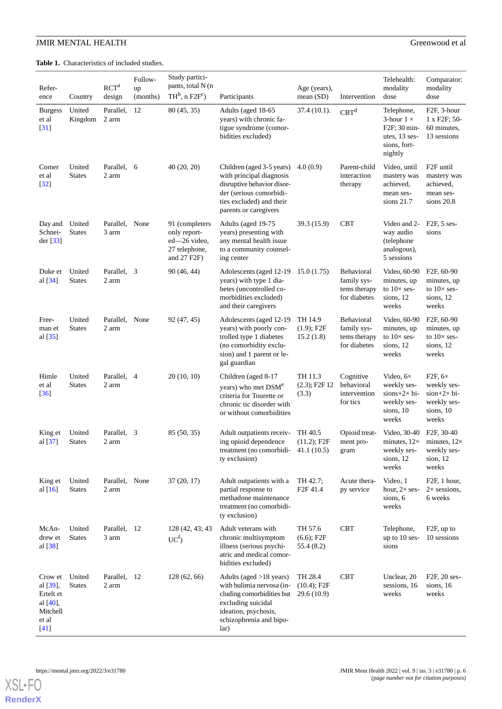<span id="page-6-0"></span>**Table 1.** Characteristics of included studies.

| Refer-<br>ence                                                                 | Country                 | RCT <sup>a</sup><br>design  | Follow-<br>up<br>(months) | Study partici-<br>pants, total N (n<br>$TH^b$ , n $F2F^c$ )                       | Participants                                                                                                                                                                     | Age (years),<br>mean $(SD)$            | Intervention                                                     | Telehealth:<br>modality<br>dose                                                                          | Comparator:<br>modality<br>dose                                                                       |
|--------------------------------------------------------------------------------|-------------------------|-----------------------------|---------------------------|-----------------------------------------------------------------------------------|----------------------------------------------------------------------------------------------------------------------------------------------------------------------------------|----------------------------------------|------------------------------------------------------------------|----------------------------------------------------------------------------------------------------------|-------------------------------------------------------------------------------------------------------|
| <b>Burgess</b><br>et al<br>$[31]$                                              | United<br>Kingdom       | Parallel,<br>2 arm          | 12                        | 80 (45, 35)                                                                       | Adults (aged 18-65<br>years) with chronic fa-<br>tigue syndrome (comor-<br>bidities excluded)                                                                                    | 37.4 (10.1).                           | CBT <sup>d</sup>                                                 | Telephone,<br>3-hour $1 \times$<br>F <sub>2F</sub> ; 30 min-<br>utes, 13 ses-<br>sions, fort-<br>nightly | F <sub>2F</sub> , 3-hour<br>1 x F2F; 50-<br>60 minutes,<br>13 sessions                                |
| Comer<br>et al<br>$[32]$                                                       | United<br><b>States</b> | Parallel,<br>2 arm          | 6                         | 40(20, 20)                                                                        | Children (aged 3-5 years)<br>with principal diagnosis<br>disruptive behavior disor-<br>der (serious comorbidi-<br>ties excluded) and their<br>parents or caregivers              | 4.0(0.9)                               | Parent-child<br>interaction<br>therapy                           | Video, until<br>mastery was<br>achieved,<br>mean ses-<br>sions $21.7$                                    | F <sub>2F</sub> until<br>mastery was<br>achieved,<br>mean ses-<br>sions 20.8                          |
| Day and<br>Schnei-<br>der [33]                                                 | United<br><b>States</b> | Parallel, None<br>3 arm     |                           | 91 (completers<br>only report-<br>ed-26 video,<br>27 telephone,<br>and $27 F2F$ ) | Adults (aged 19-75<br>years) presenting with<br>any mental health issue<br>to a community counsel-<br>ing center                                                                 | 39.3 (15.9)                            | <b>CBT</b>                                                       | Video and 2-<br>way audio<br>(telephone<br>analogous),<br>5 sessions                                     | $F2F$ , 5 ses-<br>sions                                                                               |
| Duke et<br>al [34]                                                             | United<br><b>States</b> | Parallel,<br>2 arm          | 3                         | 90 (46, 44)                                                                       | Adolescents (aged 12-19<br>years) with type 1 dia-<br>betes (uncontrolled co-<br>morbidities excluded)<br>and their caregivers                                                   | 15.0(1.75)                             | <b>Behavioral</b><br>family sys-<br>tems therapy<br>for diabetes | Video, 60-90<br>minutes, up<br>to $10\times$ ses-<br>sions, 12<br>weeks                                  | F <sub>2F</sub> , 60-90<br>minutes, up<br>to $10\times$ ses-<br>sions, 12<br>weeks                    |
| Free-<br>man et<br>al $[35]$                                                   | United<br><b>States</b> | Parallel,<br>2 arm          | None                      | 92 (47, 45)                                                                       | Adolescents (aged 12-19<br>years) with poorly con-<br>trolled type 1 diabetes<br>(no comorbidity exclu-<br>sion) and 1 parent or le-<br>gal guardian                             | TH 14.9<br>$(1.9)$ ; F2F<br>15.2(1.8)  | Behavioral<br>family sys-<br>tems therapy<br>for diabetes        | Video, 60-90<br>minutes, up<br>to $10\times$ ses-<br>sions, 12<br>weeks                                  | F <sub>2F</sub> , 60-90<br>minutes, up<br>to $10\times$ ses-<br>sions, 12<br>weeks                    |
| Himle<br>et al<br>$\left[36\right]$                                            | United<br><b>States</b> | Parallel,<br>2 arm          | $\overline{4}$            | 20(10, 10)                                                                        | Children (aged 8-17<br>years) who met DSM <sup>e</sup><br>criteria for Tourette or<br>chronic tic disorder with<br>or without comorbidities                                      | TH 11.3<br>$(2.3)$ ; F2F 12<br>(3.3)   | Cognitive<br>behavioral<br>intervention<br>for tics              | Video, $6\times$<br>weekly ses-<br>$sions+2\times bi-$<br>weekly ses-<br>sions, 10<br>weeks              | F <sub>2F</sub> , $6\times$<br>weekly ses-<br>$sion+2\times bi-$<br>weekly ses-<br>sions, 10<br>weeks |
| King et<br>al $[37]$                                                           | United<br><b>States</b> | Parallel,<br>$2\;{\rm arm}$ | 3                         | 85 (50, 35)                                                                       | Adult outpatients receiv-<br>ing opioid dependence<br>treatment (no comorbidi- $41.1(10.5)$ )<br>ty exclusion)                                                                   | TH 40.5<br>$(11.2)$ ; F2F              | Opioid treat-<br>ment pro-<br>gram                               | Video, 30-40 F2F, 30-40<br>weekly ses-<br>sions, 12<br>weeks                                             | minutes, $12 \times$ minutes, $12 \times$<br>weekly ses-<br>sion, 12<br>weeks                         |
| King et<br>al $[16]$                                                           | United<br><b>States</b> | Parallel, None<br>2 arm     |                           | 37(20, 17)                                                                        | Adult outpatients with a<br>partial response to<br>methadone maintenance<br>treatment (no comorbidi-<br>ty exclusion)                                                            | TH 42.7;<br>F <sub>2F</sub> 41.4       | Acute thera-<br>py service                                       | Video, 1<br>hour, $2 \times$ ses-<br>sions, 6<br>weeks                                                   | F <sub>2F</sub> , 1 hour,<br>$2\times$ sessions,<br>6 weeks                                           |
| McAn-<br>drew et<br>al [38]                                                    | United<br><b>States</b> | Parallel, 12<br>3 arm       |                           | 128 (42, 43; 43)<br>$UC^f$                                                        | Adult veterans with<br>chronic multisymptom<br>illness (serious psychi-<br>atric and medical comor-<br>bidities excluded)                                                        | TH 57.6<br>$(6.6)$ ; F2F<br>55.4 (8.2) | <b>CBT</b>                                                       | Telephone,<br>up to $10$ ses-<br>sions                                                                   | $F2F$ , up to<br>10 sessions                                                                          |
| Crow et<br>al [39],<br>Ertelt et<br>al $[40]$ ,<br>Mitchell<br>et al<br>$[41]$ | United<br><b>States</b> | Parallel, 12<br>2 arm       |                           | 128(62, 66)                                                                       | Adults (aged $>18$ years)<br>with bulimia nervosa (in-<br>cluding comorbidities but 29.6 (10.9)<br>excluding suicidal<br>ideation, psychosis,<br>schizophrenia and bipo-<br>lar) | TH 28.4<br>$(10.4)$ ; F2F              | <b>CBT</b>                                                       | Unclear, 20<br>sessions, 16<br>weeks                                                                     | F2F, 20 ses-<br>sions, 16<br>weeks                                                                    |

**[RenderX](http://www.renderx.com/)**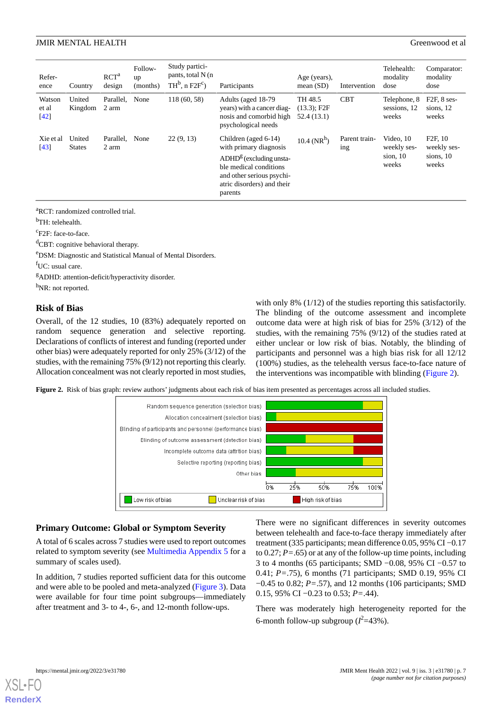| Refer-<br>ence          | Country                 | RCT <sup>a</sup><br>design | Follow-<br>up<br>(months) | Study partici-<br>pants, total N (n)<br>$TH^b$ , n $F2F^c$ ) | Participants                                                                                                                                                                | Age (years),<br>mean $(SD)$             | Intervention         | Telehealth:<br>modality<br>dose                   | Comparator:<br>modality<br>dose                           |
|-------------------------|-------------------------|----------------------------|---------------------------|--------------------------------------------------------------|-----------------------------------------------------------------------------------------------------------------------------------------------------------------------------|-----------------------------------------|----------------------|---------------------------------------------------|-----------------------------------------------------------|
| Watson<br>et al<br>[42] | United<br>Kingdom       | Parallel,<br>2 arm         | None                      | 118 (60, 58)                                                 | Adults (aged 18-79)<br>years) with a cancer diag-<br>nosis and comorbid high<br>psychological needs                                                                         | TH 48.5<br>$(13.3)$ ; F2F<br>52.4(13.1) | <b>CBT</b>           | Telephone, 8<br>sessions, 12<br>weeks             | $F2F$ , 8 ses-<br>sions, 12<br>weeks                      |
| Xie et al<br>$[43]$     | United<br><b>States</b> | Parallel.<br>2 arm         | None                      | 22(9, 13)                                                    | Children (aged 6-14)<br>with primary diagnosis<br>$ADHDg$ (excluding unsta-<br>ble medical conditions<br>and other serious psychi-<br>atric disorders) and their<br>parents | 10.4 ( $NR^h$ )                         | Parent train-<br>ing | Video, $10$<br>weekly ses-<br>sion, $10$<br>weeks | F <sub>2</sub> F, 10<br>weekly ses-<br>sions, 10<br>weeks |

<sup>a</sup>RCT: randomized controlled trial.

b<sub>TH: telehealth.</sub>

<sup>c</sup>F2F: face-to-face.

<sup>d</sup>CBT: cognitive behavioral therapy.

<sup>e</sup>DSM: Diagnostic and Statistical Manual of Mental Disorders.

f<sub>UC</sub>: usual care.

<sup>g</sup>ADHD: attention-deficit/hyperactivity disorder.

h<sub>NR</sub>: not reported.

### **Risk of Bias**

<span id="page-7-0"></span>Overall, of the 12 studies, 10 (83%) adequately reported on random sequence generation and selective reporting. Declarations of conflicts of interest and funding (reported under other bias) were adequately reported for only 25% (3/12) of the studies, with the remaining 75% (9/12) not reporting this clearly. Allocation concealment was not clearly reported in most studies,

with only 8% (1/12) of the studies reporting this satisfactorily. The blinding of the outcome assessment and incomplete outcome data were at high risk of bias for 25% (3/12) of the studies, with the remaining 75% (9/12) of the studies rated at either unclear or low risk of bias. Notably, the blinding of participants and personnel was a high bias risk for all 12/12 (100%) studies, as the telehealth versus face-to-face nature of the interventions was incompatible with blinding [\(Figure 2\)](#page-7-0).

**Figure 2.** Risk of bias graph: review authors' judgments about each risk of bias item presented as percentages across all included studies.



#### **Primary Outcome: Global or Symptom Severity**

A total of 6 scales across 7 studies were used to report outcomes related to symptom severity (see [Multimedia Appendix 5](#page-12-9) for a summary of scales used).

In addition, 7 studies reported sufficient data for this outcome and were able to be pooled and meta-analyzed [\(Figure 3\)](#page-8-0). Data were available for four time point subgroups—immediately after treatment and 3- to 4-, 6-, and 12-month follow-ups.

There were no significant differences in severity outcomes between telehealth and face-to-face therapy immediately after treatment (335 participants; mean difference 0.05, 95% CI −0.17 to 0.27; *P=*.65) or at any of the follow-up time points, including 3 to 4 months (65 participants; SMD −0.08, 95% CI −0.57 to 0.41; *P=*.75), 6 months (71 participants; SMD 0.19, 95% CI −0.45 to 0.82; *P=*.57), and 12 months (106 participants; SMD 0.15, 95% CI −0.23 to 0.53; *P=*.44).

There was moderately high heterogeneity reported for the 6-month follow-up subgroup  $(l^2=43\%)$ .

```
XSL•FO
```
**[RenderX](http://www.renderx.com/)**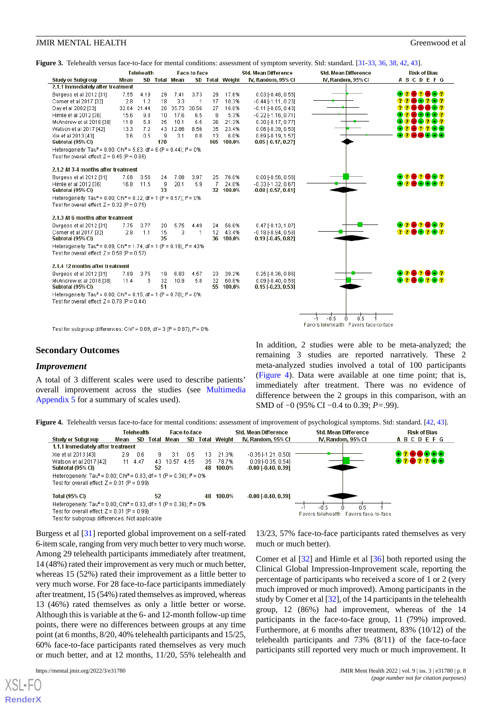| Figure 3. Telehealth versus face-to-face for mental conditions: assessment of symptom severity. Std: standard. [31-33, 36, 38, 42, 43]. |  |  |  |
|-----------------------------------------------------------------------------------------------------------------------------------------|--|--|--|
|-----------------------------------------------------------------------------------------------------------------------------------------|--|--|--|

<span id="page-8-0"></span>

|                                                                                                                                                 |             | <b>Telehealth</b> |     |               | Face-to-face   |                |                 | <b>Std. Mean Difference</b> | <b>Std. Mean Difference</b> | <b>Risk of Bias</b> |
|-------------------------------------------------------------------------------------------------------------------------------------------------|-------------|-------------------|-----|---------------|----------------|----------------|-----------------|-----------------------------|-----------------------------|---------------------|
| <b>Study or Subgroup</b>                                                                                                                        | Mean        |                   |     | SD Total Mean |                |                | SD Total Weight | IV, Random, 95% CI          | IV, Random, 95% CI          | <b>ABCDEFG</b>      |
| 2.1.1 Immediately after treatment                                                                                                               |             |                   |     |               |                |                |                 |                             |                             |                     |
| Burgess et al 2012 [31]                                                                                                                         | 7.55        | 4.19              | 29  | 7.41          | 3.73           | 29             | 17.6%           | $0.03$ [-0.48, 0.55]        |                             | 8280832             |
| Comer et al 2017 [32]                                                                                                                           | 2.8         | 1.2               | 18  | 3.3           | $\overline{1}$ | 17             | 10.3%           | $-0.44$ [-1.11, 0.23]       |                             | 8282                |
| Day et al 2002 [33]                                                                                                                             | 32.84 21.44 |                   |     | 26 35.73      | 30.56          | 27             | 16.0%           | $-0.11$ $[-0.65, 0.43]$     |                             | DOG ?               |
| Himle et al 2012 [36]                                                                                                                           | 15.6        | 9.8               | 10  | 17.6          | 6.5            | 8              | 5.3%            | $-0.22$ $[-1.16, 0.71]$     |                             | 203982              |
| McAndrew et al 2018 [38]                                                                                                                        | 11.8        | 5.8               | 35  | 10.1          | 5.5            | 36             | 21.3%           | $0.30$ [-0.17, 0.77]        |                             | 883282              |
| Watson et al 2017 [42]                                                                                                                          | 13.3        | 7.2               |     | 43 12.86      | 8.56           | 35             | 23.4%           | $0.06$ [-0.39, 0.50]        |                             | 202266              |
| Xie et al 2013 [43]                                                                                                                             | 3.6         | 0.5               | 9   | 3.1           | 0.8            | 13             | 6.0%            | 0.69 [-0.19, 1.57]          |                             | - 20<br>DDOO        |
| Subtotal (95% CI)                                                                                                                               |             |                   | 170 |               |                |                | 165 100.0%      | $0.05$ [-0.17, 0.27]        |                             |                     |
| Heterogeneity: Tau <sup>2</sup> = 0.00; Chi <sup>2</sup> = 5.83, df = 6 (P = 0.44); $I^2$ = 0%                                                  |             |                   |     |               |                |                |                 |                             |                             |                     |
| Test for overall effect: $Z = 0.45$ (P = 0.65)                                                                                                  |             |                   |     |               |                |                |                 |                             |                             |                     |
| 2.1.2 At 3-4 months after treatment                                                                                                             |             |                   |     |               |                |                |                 |                             |                             |                     |
| Burgess et al 2012 [31]                                                                                                                         | 7.08        | 3.56              | 24  | 7.08          | 3.97           | 25             | 76.0%           | $0.00$ $F0.56$ , $0.561$    |                             | 82020G2             |
| Himle et al 2012 [36]                                                                                                                           | 16.8        | 11.5              | 9   | 20.1          | 5.9            | $\overline{7}$ | 24.0%           | $-0.33$ $[-1.32, 0.67]$     |                             | 8008880             |
| Subtotal (95% CI)                                                                                                                               |             |                   | 33  |               |                |                | 32 100.0%       | $-0.08$ [ $-0.57, 0.41$ ]   |                             |                     |
| Heterogeneity: Tau <sup>2</sup> = 0.00; Chi <sup>2</sup> = 0.32, df = 1 (P = 0.57); $P = 0\%$<br>Test for overall effect: $Z = 0.32$ (P = 0.75) |             |                   |     |               |                |                |                 |                             |                             |                     |
| 2.1.3 At 6 months after treatment                                                                                                               |             |                   |     |               |                |                |                 |                             |                             |                     |
| Burgess et al 2012 [31]                                                                                                                         | 7.75        | 3.77              | 20  | 5.75          | 4.49           | 24             | 56.6%           | $0.47$ [-0.13, 1.07]        |                             | 8020Q2              |
| Comer et al 2017 [32]                                                                                                                           | 2.8         | 1.1               | 15  | 3             | $\mathbf{1}$   | 12             | 43.4%           | $-0.18[-0.94, 0.58]$        |                             | 0000000             |
| Subtotal (95% CI)                                                                                                                               |             |                   | 35  |               |                |                | 36 100.0%       | $0.19$ [-0.45, 0.82]        |                             |                     |
| Heterogeneity: Tau <sup>2</sup> = 0.09; Chi <sup>2</sup> = 1.74, df = 1 (P = 0.19); $P = 43\%$                                                  |             |                   |     |               |                |                |                 |                             |                             |                     |
| Test for overall effect: $Z = 0.58$ (P = 0.57)                                                                                                  |             |                   |     |               |                |                |                 |                             |                             |                     |
| 2.1.4 12 months after treatment                                                                                                                 |             |                   |     |               |                |                |                 |                             |                             |                     |
| Burgess et al 2012 [31]                                                                                                                         | 7.89        | 3.75              | 19  | 6.83          | 4.57           | 23             | 39.2%           | $0.25$ [-0.36, 0.86]        |                             | 8002082             |
| McAndrew et al 2018 [38]                                                                                                                        | 11.4        | 5                 | 32  | 10.9          | 5.8            | 32             | 60.8%           | $0.09$ [-0.40, 0.58]        |                             | 8288282             |
| Subtotal (95% CI)                                                                                                                               |             |                   | 51  |               |                |                | 55 100.0%       | $0.15$ [-0.23, 0.53]        |                             |                     |
| Heterogeneity: Tau <sup>2</sup> = 0.00; Chi <sup>2</sup> = 0.15, df = 1 (P = 0.70); $P = 0%$                                                    |             |                   |     |               |                |                |                 |                             |                             |                     |
| Test for overall effect: $Z = 0.78$ (P = 0.44)                                                                                                  |             |                   |     |               |                |                |                 |                             |                             |                     |
|                                                                                                                                                 |             |                   |     |               |                |                |                 |                             |                             |                     |
|                                                                                                                                                 |             |                   |     |               |                |                |                 |                             | 0.5<br>-0.5                 |                     |

Test for subgroup differences: Chi<sup>2</sup> = 0.69, df = 3 (P = 0.87),  $I^2$  = 0%

#### **Secondary Outcomes**

#### *Improvement*

<span id="page-8-1"></span>A total of 3 different scales were used to describe patients' overall improvement across the studies (see [Multimedia](#page-12-9) [Appendix 5](#page-12-9) for a summary of scales used).

In addition, 2 studies were able to be meta-analyzed; the remaining 3 studies are reported narratively. These 2 meta-analyzed studies involved a total of 100 participants ([Figure 4\)](#page-8-1). Data were available at one time point; that is, immediately after treatment. There was no evidence of difference between the 2 groups in this comparison, with an SMD of −0 (95% CI −0.4 to 0.39; *P=*.99).

**Figure 4.** Telehealth versus face-to-face for mental conditions: assessment of improvement of psychological symptoms. Std: standard. [[42](#page-14-14), [43](#page-14-15)].



Burgess et al [[31\]](#page-14-3) reported global improvement on a self-rated 6-item scale, ranging from very much better to very much worse. Among 29 telehealth participants immediately after treatment, 14 (48%) rated their improvement as very much or much better, whereas 15 (52%) rated their improvement as a little better to very much worse. For 28 face-to-face participants immediately after treatment, 15 (54%) rated themselves as improved, whereas 13 (46%) rated themselves as only a little better or worse. Although this is variable at the 6- and 12-month follow-up time points, there were no differences between groups at any time point (at 6 months, 8/20, 40% telehealth participants and 15/25, 60% face-to-face participants rated themselves as very much or much better, and at 12 months, 11/20, 55% telehealth and

[XSL](http://www.w3.org/Style/XSL)•FO **[RenderX](http://www.renderx.com/)**

13/23, 57% face-to-face participants rated themselves as very much or much better).

Comer et al [\[32](#page-14-4)] and Himle et al [[36\]](#page-14-8) both reported using the Clinical Global Impression-Improvement scale, reporting the percentage of participants who received a score of 1 or 2 (very much improved or much improved). Among participants in the study by Comer et al [\[32](#page-14-4)], of the 14 participants in the telehealth group, 12 (86%) had improvement, whereas of the 14 participants in the face-to-face group, 11 (79%) improved. Furthermore, at 6 months after treatment, 83% (10/12) of the telehealth participants and 73% (8/11) of the face-to-face participants still reported very much or much improvement. It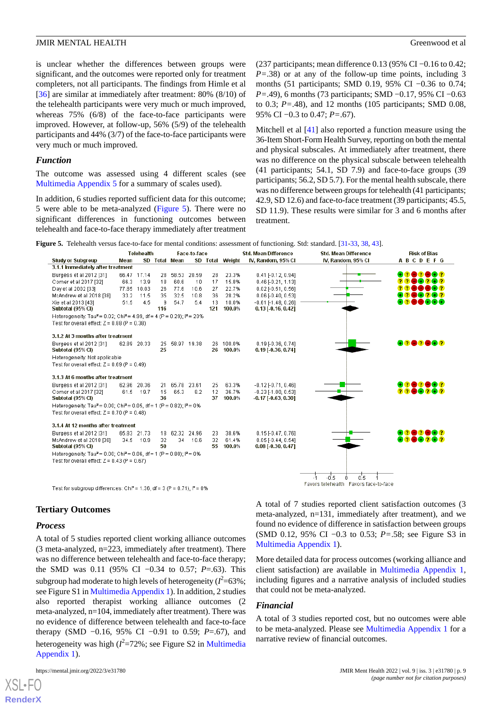is unclear whether the differences between groups were significant, and the outcomes were reported only for treatment completers, not all participants. The findings from Himle et al [[36\]](#page-14-8) are similar at immediately after treatment: 80% (8/10) of the telehealth participants were very much or much improved, whereas 75% (6/8) of the face-to-face participants were improved. However, at follow-up, 56% (5/9) of the telehealth participants and 44% (3/7) of the face-to-face participants were very much or much improved.

#### *Function*

The outcome was assessed using 4 different scales (see [Multimedia Appendix 5](#page-12-9) for a summary of scales used).

<span id="page-9-0"></span>In addition, 6 studies reported sufficient data for this outcome; 5 were able to be meta-analyzed [\(Figure 5](#page-9-0)). There were no significant differences in functioning outcomes between telehealth and face-to-face therapy immediately after treatment (237 participants; mean difference 0.13 (95% CI −0.16 to 0.42; *P=*.38) or at any of the follow-up time points, including 3 months (51 participants; SMD 0.19, 95% CI −0.36 to 0.74; *P*=.49), 6 months (73 participants; SMD −0.17, 95% CI −0.63 to 0.3; *P=*.48), and 12 months (105 participants; SMD 0.08, 95% CI −0.3 to 0.47; *P=*.67).

Mitchell et al [\[41](#page-14-13)] also reported a function measure using the 36-Item Short-Form Health Survey, reporting on both the mental and physical subscales. At immediately after treatment, there was no difference on the physical subscale between telehealth (41 participants; 54.1, SD 7.9) and face-to-face groups (39 participants; 56.2, SD 5.7). For the mental health subscale, there was no difference between groups for telehealth (41 participants; 42.9, SD 12.6) and face-to-face treatment (39 participants; 45.5, SD 11.9). These results were similar for 3 and 6 months after treatment.

**Figure 5.** Telehealth versus face-to-face for mental conditions: assessment of functioning. Std: standard. [\[31-](#page-14-3)[33](#page-14-5), [38,](#page-14-10) [43\]](#page-14-15).

|                                                                                                          |      | Telehealth  |          |                | Face-to-face |          |                 | <b>Std. Mean Difference</b>  | <b>Std. Mean Difference</b>           | <b>Risk of Bias</b> |
|----------------------------------------------------------------------------------------------------------|------|-------------|----------|----------------|--------------|----------|-----------------|------------------------------|---------------------------------------|---------------------|
| <b>Study or Subgroup</b>                                                                                 | Mean |             |          | SD Total Mean  |              |          | SD Total Weight | IV, Random, 95% CI           | IV, Random, 95% CI                    | <b>ABCDEFG</b>      |
| 3.1.1 Immediately after treatment                                                                        |      |             |          |                |              |          |                 |                              |                                       |                     |
| Burgess et al 2012 [31]                                                                                  |      | 66.47 17.14 | 28       | 58.53          | 20.59        | 28       | 23.3%           | $0.41$ [-0.12, 0.94]         |                                       | - 121<br>- 132      |
| Comer et al 2017 [32]                                                                                    | 66.3 | 13.9        | 18       | 60.6           | 10           | 17       | 15.8%           | $0.46$ [-0.21, 1.13]         |                                       | 282                 |
| Day et al 2002 [33]                                                                                      |      | 77.85 10.03 | 26       | 77.6           | 10.6         | 27       | 22.7%           | $0.02$ [ $-0.51$ , $0.56$ ]  |                                       | D 68 7              |
| McAndrew et al 2018 [38]                                                                                 | 33.2 | 11.5        | 35       | 32.5           | 10.8         | 36       | 28.2%           | $0.06$ [-0.40, 0.53]         |                                       | - 7                 |
| Xie et al 2013 [43]                                                                                      | 51.5 | 4.5         | 9        | 54.7           | 5.4          | 13       | 10.0%           | $-0.61$ F1.48, 0.261         |                                       | naco                |
| Subtotal (95% CI)                                                                                        |      |             | 116      |                |              | 121      | 100.0%          | $0.13$ [-0.16, 0.42]         |                                       |                     |
| Heterogeneity: Tau <sup>2</sup> = 0.02; Chi <sup>2</sup> = 4.99, df = 4 (P = 0.29); i <sup>2</sup> = 20% |      |             |          |                |              |          |                 |                              |                                       |                     |
| Test for overall effect: $Z = 0.88$ (P = 0.38)                                                           |      |             |          |                |              |          |                 |                              |                                       |                     |
| 3.1.2 At 3 months after treatment                                                                        |      |             |          |                |              |          |                 |                              |                                       |                     |
| Burgess et al 2012 [31]                                                                                  |      | 62.89 20.33 |          | 25 58.97 19.38 |              |          | 26 100.0%       | $0.19$ [-0.36, 0.74]         |                                       | 80 <b>8083</b>      |
| Subtotal (95% CI)                                                                                        |      |             | 25       |                |              | 26       | 100.0%          | $0.19$ [ $-0.36$ , $0.74$ ]  |                                       |                     |
| Heterogeneity: Not applicable                                                                            |      |             |          |                |              |          |                 |                              |                                       |                     |
| Test for overall effect: $Z = 0.69$ (P = 0.49)                                                           |      |             |          |                |              |          |                 |                              |                                       |                     |
|                                                                                                          |      |             |          |                |              |          |                 |                              |                                       |                     |
| 3.1.3 At 6 months after treatment                                                                        |      |             |          |                |              |          |                 |                              |                                       |                     |
| Burgess et al 2012 [31]                                                                                  |      | 62.96 20.36 | 21.      | 65.78 23.61    |              | 25       | 63.3%           | $-0.12[-0.71, 0.46]$         |                                       | 8282882             |
| Comer et al 2017 [32]                                                                                    | 61.5 | $-19.7$     | 15<br>36 | 65.3           | 8.2          | 12<br>37 | 36.7%           | $-0.23$ [-1.00, 0.53]        |                                       | <b>DA202</b>        |
| Subtotal (95% CI)                                                                                        |      |             |          |                |              |          | 100.0%          | $-0.17$ [ $-0.63$ , $0.30$ ] |                                       |                     |
| Heterogeneity: Tau <sup>2</sup> = 0.00; Chi <sup>2</sup> = 0.05, df = 1 (P = 0.82); $I^2$ = 0%           |      |             |          |                |              |          |                 |                              |                                       |                     |
| Test for overall effect: $Z = 0.70$ (P = 0.48)                                                           |      |             |          |                |              |          |                 |                              |                                       |                     |
| 3.1.4 At 12 months after treatment                                                                       |      |             |          |                |              |          |                 |                              |                                       |                     |
| Burgess et al 2012 [31]                                                                                  |      | 65.83 21.73 |          | 18 62.32 24.96 |              | 23       | 38.6%           | $0.15$ [-0.47, 0.76]         |                                       | <b>+262682</b>      |
| McAndrew et al 2018 [38]                                                                                 |      | 34.5 10.9   | 32       | 34             | 10.6         | 32       | 61.4%           | $0.05$ [-0.44, 0.54]         |                                       |                     |
| Subtotal (95% CI)                                                                                        |      |             | 50       |                |              | 55       | 100.0%          | $0.08$ [ $-0.30$ , $0.47$ ]  |                                       |                     |
| Heterogeneity: Tau <sup>2</sup> = 0.00; Chi <sup>2</sup> = 0.06, df = 1 (P = 0.80); $P = 0\%$            |      |             |          |                |              |          |                 |                              |                                       |                     |
| Test for overall effect: $Z = 0.43$ (P = 0.67)                                                           |      |             |          |                |              |          |                 |                              |                                       |                     |
|                                                                                                          |      |             |          |                |              |          |                 |                              |                                       |                     |
|                                                                                                          |      |             |          |                |              |          |                 |                              | 0.5<br>-0.5                           |                     |
|                                                                                                          |      |             |          |                |              |          |                 |                              | Favors telehealth Favors face-to-face |                     |

Test for subgroup differences: Chi<sup>2</sup> = 1.36, df = 3 (P = 0.71),  $P = 0\%$ 

#### **Tertiary Outcomes**

### *Process*

[XSL](http://www.w3.org/Style/XSL)•FO **[RenderX](http://www.renderx.com/)**

A total of 5 studies reported client working alliance outcomes (3 meta-analyzed, n=223, immediately after treatment). There was no difference between telehealth and face-to-face therapy; the SMD was 0.11 (95% CI −0.34 to 0.57; *P*=.63). This subgroup had moderate to high levels of heterogeneity ( $l^2$ =63%; see Figure S1 in [Multimedia Appendix 1\)](#page-12-5). In addition, 2 studies also reported therapist working alliance outcomes (2 meta-analyzed, n=104, immediately after treatment). There was no evidence of difference between telehealth and face-to-face therapy (SMD −0.16, 95% CI −0.91 to 0.59; *P*=.67), and heterogeneity was high (*I*<sup>2</sup>=72%; see Figure S2 in [Multimedia](#page-12-5) [Appendix 1\)](#page-12-5).

A total of 7 studies reported client satisfaction outcomes (3 meta-analyzed, n=131, immediately after treatment), and we found no evidence of difference in satisfaction between groups (SMD 0.12, 95% CI −0.3 to 0.53; *P=*.58; see Figure S3 in [Multimedia Appendix 1\)](#page-12-5).

More detailed data for process outcomes (working alliance and client satisfaction) are available in [Multimedia Appendix 1](#page-12-5), including figures and a narrative analysis of included studies that could not be meta-analyzed.

#### *Financial*

A total of 3 studies reported cost, but no outcomes were able to be meta-analyzed. Please see [Multimedia Appendix 1](#page-12-5) for a narrative review of financial outcomes.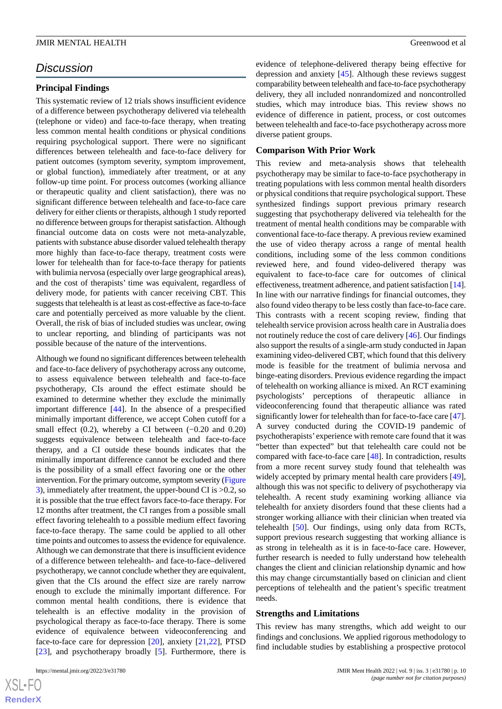# *Discussion*

### **Principal Findings**

This systematic review of 12 trials shows insufficient evidence of a difference between psychotherapy delivered via telehealth (telephone or video) and face-to-face therapy, when treating less common mental health conditions or physical conditions requiring psychological support. There were no significant differences between telehealth and face-to-face delivery for patient outcomes (symptom severity, symptom improvement, or global function), immediately after treatment, or at any follow-up time point. For process outcomes (working alliance or therapeutic quality and client satisfaction), there was no significant difference between telehealth and face-to-face care delivery for either clients or therapists, although 1 study reported no difference between groups for therapist satisfaction. Although financial outcome data on costs were not meta-analyzable, patients with substance abuse disorder valued telehealth therapy more highly than face-to-face therapy, treatment costs were lower for telehealth than for face-to-face therapy for patients with bulimia nervosa (especially over large geographical areas), and the cost of therapists' time was equivalent, regardless of delivery mode, for patients with cancer receiving CBT. This suggests that telehealth is at least as cost-effective as face-to-face care and potentially perceived as more valuable by the client. Overall, the risk of bias of included studies was unclear, owing to unclear reporting, and blinding of participants was not possible because of the nature of the interventions.

Although we found no significant differences between telehealth and face-to-face delivery of psychotherapy across any outcome, to assess equivalence between telehealth and face-to-face psychotherapy, CIs around the effect estimate should be examined to determine whether they exclude the minimally important difference [\[44](#page-14-16)]. In the absence of a prespecified minimally important difference, we accept Cohen cutoff for a small effect  $(0.2)$ , whereby a CI between  $(-0.20$  and  $0.20)$ suggests equivalence between telehealth and face-to-face therapy, and a CI outside these bounds indicates that the minimally important difference cannot be excluded and there is the possibility of a small effect favoring one or the other intervention. For the primary outcome, symptom severity [\(Figure](#page-8-0) [3\)](#page-8-0), immediately after treatment, the upper-bound CI is >0.2, so it is possible that the true effect favors face-to-face therapy. For 12 months after treatment, the CI ranges from a possible small effect favoring telehealth to a possible medium effect favoring face-to-face therapy. The same could be applied to all other time points and outcomes to assess the evidence for equivalence. Although we can demonstrate that there is insufficient evidence of a difference between telehealth- and face-to-face–delivered psychotherapy, we cannot conclude whether they are equivalent, given that the CIs around the effect size are rarely narrow enough to exclude the minimally important difference. For common mental health conditions, there is evidence that telehealth is an effective modality in the provision of psychological therapy as face-to-face therapy. There is some evidence of equivalence between videoconferencing and face-to-face care for depression [\[20](#page-13-11)], anxiety [\[21](#page-13-12),[22\]](#page-13-13), PTSD [[23\]](#page-13-14), and psychotherapy broadly [\[5](#page-12-4)]. Furthermore, there is

 $XS$ -FO **[RenderX](http://www.renderx.com/)** evidence of telephone-delivered therapy being effective for depression and anxiety [\[45](#page-14-17)]. Although these reviews suggest comparability between telehealth and face-to-face psychotherapy delivery, they all included nonrandomized and noncontrolled studies, which may introduce bias. This review shows no evidence of difference in patient, process, or cost outcomes between telehealth and face-to-face psychotherapy across more diverse patient groups.

#### **Comparison With Prior Work**

This review and meta-analysis shows that telehealth psychotherapy may be similar to face-to-face psychotherapy in treating populations with less common mental health disorders or physical conditions that require psychological support. These synthesized findings support previous primary research suggesting that psychotherapy delivered via telehealth for the treatment of mental health conditions may be comparable with conventional face-to-face therapy. A previous review examined the use of video therapy across a range of mental health conditions, including some of the less common conditions reviewed here, and found video-delivered therapy was equivalent to face-to-face care for outcomes of clinical effectiveness, treatment adherence, and patient satisfaction [\[14](#page-13-6)]. In line with our narrative findings for financial outcomes, they also found video therapy to be less costly than face-to-face care. This contrasts with a recent scoping review, finding that telehealth service provision across health care in Australia does not routinely reduce the cost of care delivery [[46\]](#page-14-18). Our findings also support the results of a single-arm study conducted in Japan examining video-delivered CBT, which found that this delivery mode is feasible for the treatment of bulimia nervosa and binge-eating disorders. Previous evidence regarding the impact of telehealth on working alliance is mixed. An RCT examining psychologists' perceptions of therapeutic alliance in videoconferencing found that therapeutic alliance was rated significantly lower for telehealth than for face-to-face care [\[47\]](#page-14-19). A survey conducted during the COVID-19 pandemic of psychotherapists' experience with remote care found that it was "better than expected" but that telehealth care could not be compared with face-to-face care [\[48](#page-14-20)]. In contradiction, results from a more recent survey study found that telehealth was widely accepted by primary mental health care providers [[49\]](#page-14-21), although this was not specific to delivery of psychotherapy via telehealth. A recent study examining working alliance via telehealth for anxiety disorders found that these clients had a stronger working alliance with their clinician when treated via telehealth [[50\]](#page-15-0). Our findings, using only data from RCTs, support previous research suggesting that working alliance is as strong in telehealth as it is in face-to-face care. However, further research is needed to fully understand how telehealth changes the client and clinician relationship dynamic and how this may change circumstantially based on clinician and client perceptions of telehealth and the patient's specific treatment needs.

#### **Strengths and Limitations**

This review has many strengths, which add weight to our findings and conclusions. We applied rigorous methodology to find includable studies by establishing a prospective protocol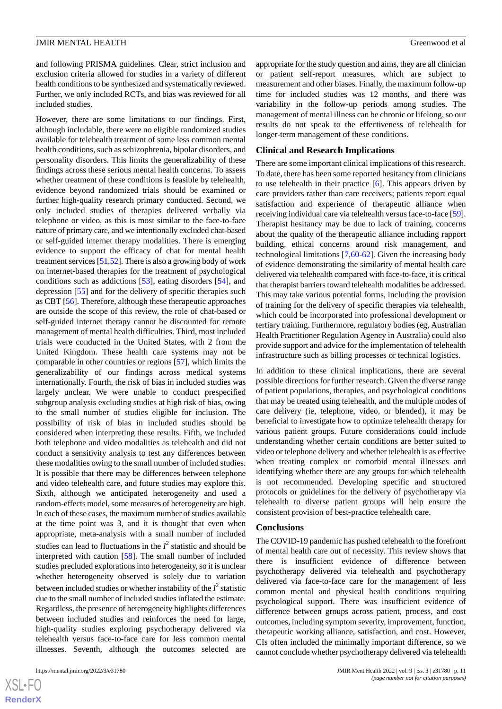and following PRISMA guidelines. Clear, strict inclusion and exclusion criteria allowed for studies in a variety of different health conditions to be synthesized and systematically reviewed. Further, we only included RCTs, and bias was reviewed for all included studies.

However, there are some limitations to our findings. First, although includable, there were no eligible randomized studies available for telehealth treatment of some less common mental health conditions, such as schizophrenia, bipolar disorders, and personality disorders. This limits the generalizability of these findings across these serious mental health concerns. To assess whether treatment of these conditions is feasible by telehealth, evidence beyond randomized trials should be examined or further high-quality research primary conducted. Second, we only included studies of therapies delivered verbally via telephone or video, as this is most similar to the face-to-face nature of primary care, and we intentionally excluded chat-based or self-guided internet therapy modalities. There is emerging evidence to support the efficacy of chat for mental health treatment services [\[51](#page-15-1)[,52](#page-15-2)]. There is also a growing body of work on internet-based therapies for the treatment of psychological conditions such as addictions [\[53](#page-15-3)], eating disorders [\[54](#page-15-4)], and depression [\[55](#page-15-5)] and for the delivery of specific therapies such as CBT [\[56](#page-15-6)]. Therefore, although these therapeutic approaches are outside the scope of this review, the role of chat-based or self-guided internet therapy cannot be discounted for remote management of mental health difficulties. Third, most included trials were conducted in the United States, with 2 from the United Kingdom. These health care systems may not be comparable in other countries or regions [\[57](#page-15-7)], which limits the generalizability of our findings across medical systems internationally. Fourth, the risk of bias in included studies was largely unclear. We were unable to conduct prespecified subgroup analysis excluding studies at high risk of bias, owing to the small number of studies eligible for inclusion. The possibility of risk of bias in included studies should be considered when interpreting these results. Fifth, we included both telephone and video modalities as telehealth and did not conduct a sensitivity analysis to test any differences between these modalities owing to the small number of included studies. It is possible that there may be differences between telephone and video telehealth care, and future studies may explore this. Sixth, although we anticipated heterogeneity and used a random-effects model, some measures of heterogeneity are high. In each of these cases, the maximum number of studies available at the time point was 3, and it is thought that even when appropriate, meta-analysis with a small number of included studies can lead to fluctuations in the  $I^2$  statistic and should be interpreted with caution [\[58](#page-15-8)]. The small number of included studies precluded explorations into heterogeneity, so it is unclear whether heterogeneity observed is solely due to variation between included studies or whether instability of the  $I^2$  statistic due to the small number of included studies inflated the estimate. Regardless, the presence of heterogeneity highlights differences between included studies and reinforces the need for large, high-quality studies exploring psychotherapy delivered via telehealth versus face-to-face care for less common mental illnesses. Seventh, although the outcomes selected are

appropriate for the study question and aims, they are all clinician or patient self-report measures, which are subject to measurement and other biases. Finally, the maximum follow-up time for included studies was 12 months, and there was variability in the follow-up periods among studies. The management of mental illness can be chronic or lifelong, so our results do not speak to the effectiveness of telehealth for longer-term management of these conditions.

#### **Clinical and Research Implications**

There are some important clinical implications of this research. To date, there has been some reported hesitancy from clinicians to use telehealth in their practice  $[6]$  $[6]$ . This appears driven by care providers rather than care receivers; patients report equal satisfaction and experience of therapeutic alliance when receiving individual care via telehealth versus face-to-face [\[59\]](#page-15-9). Therapist hesitancy may be due to lack of training, concerns about the quality of the therapeutic alliance including rapport building, ethical concerns around risk management, and technological limitations [[7,](#page-13-1)[60](#page-15-10)-[62\]](#page-15-11). Given the increasing body of evidence demonstrating the similarity of mental health care delivered via telehealth compared with face-to-face, it is critical that therapist barriers toward telehealth modalities be addressed. This may take various potential forms, including the provision of training for the delivery of specific therapies via telehealth, which could be incorporated into professional development or tertiary training. Furthermore, regulatory bodies (eg, Australian Health Practitioner Regulation Agency in Australia) could also provide support and advice for the implementation of telehealth infrastructure such as billing processes or technical logistics.

In addition to these clinical implications, there are several possible directions for further research. Given the diverse range of patient populations, therapies, and psychological conditions that may be treated using telehealth, and the multiple modes of care delivery (ie, telephone, video, or blended), it may be beneficial to investigate how to optimize telehealth therapy for various patient groups. Future considerations could include understanding whether certain conditions are better suited to video or telephone delivery and whether telehealth is as effective when treating complex or comorbid mental illnesses and identifying whether there are any groups for which telehealth is not recommended. Developing specific and structured protocols or guidelines for the delivery of psychotherapy via telehealth to diverse patient groups will help ensure the consistent provision of best-practice telehealth care.

#### **Conclusions**

The COVID-19 pandemic has pushed telehealth to the forefront of mental health care out of necessity. This review shows that there is insufficient evidence of difference between psychotherapy delivered via telehealth and psychotherapy delivered via face-to-face care for the management of less common mental and physical health conditions requiring psychological support. There was insufficient evidence of difference between groups across patient, process, and cost outcomes, including symptom severity, improvement, function, therapeutic working alliance, satisfaction, and cost. However, CIs often included the minimally important difference, so we cannot conclude whether psychotherapy delivered via telehealth

 $XS$  $\cdot$ FC **[RenderX](http://www.renderx.com/)**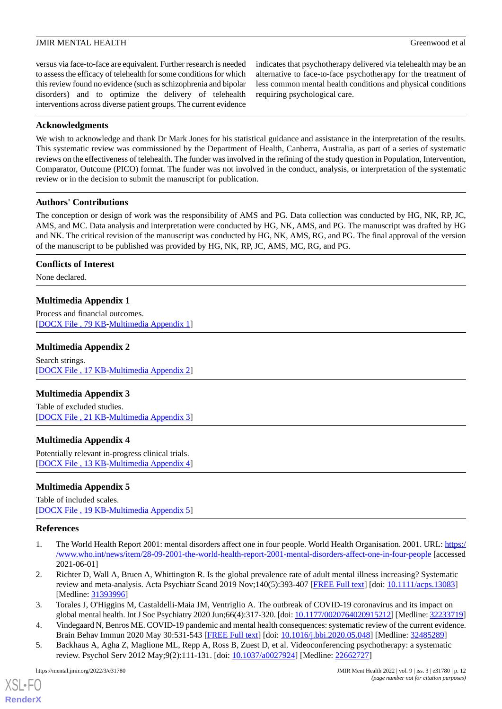versus via face-to-face are equivalent. Further research is needed to assess the efficacy of telehealth for some conditions for which this review found no evidence (such as schizophrenia and bipolar disorders) and to optimize the delivery of telehealth interventions across diverse patient groups. The current evidence

indicates that psychotherapy delivered via telehealth may be an alternative to face-to-face psychotherapy for the treatment of less common mental health conditions and physical conditions requiring psychological care.

### **Acknowledgments**

We wish to acknowledge and thank Dr Mark Jones for his statistical guidance and assistance in the interpretation of the results. This systematic review was commissioned by the Department of Health, Canberra, Australia, as part of a series of systematic reviews on the effectiveness of telehealth. The funder was involved in the refining of the study question in Population, Intervention, Comparator, Outcome (PICO) format. The funder was not involved in the conduct, analysis, or interpretation of the systematic review or in the decision to submit the manuscript for publication.

### **Authors' Contributions**

The conception or design of work was the responsibility of AMS and PG. Data collection was conducted by HG, NK, RP, JC, AMS, and MC. Data analysis and interpretation were conducted by HG, NK, AMS, and PG. The manuscript was drafted by HG and NK. The critical revision of the manuscript was conducted by HG, NK, AMS, RG, and PG. The final approval of the version of the manuscript to be published was provided by HG, NK, RP, JC, AMS, MC, RG, and PG.

### <span id="page-12-5"></span>**Conflicts of Interest**

None declared.

# **Multimedia Appendix 1**

<span id="page-12-6"></span>Process and financial outcomes. [[DOCX File , 79 KB](https://jmir.org/api/download?alt_name=mental_v9i3e31780_app1.docx&filename=328fbb1325c1f2cf69cd3d3772a980b9.docx)-[Multimedia Appendix 1\]](https://jmir.org/api/download?alt_name=mental_v9i3e31780_app1.docx&filename=328fbb1325c1f2cf69cd3d3772a980b9.docx)

### **Multimedia Appendix 2**

<span id="page-12-7"></span>Search strings. [[DOCX File , 17 KB](https://jmir.org/api/download?alt_name=mental_v9i3e31780_app2.docx&filename=1e32194a423a8a8405769c10f41a05e4.docx)-[Multimedia Appendix 2\]](https://jmir.org/api/download?alt_name=mental_v9i3e31780_app2.docx&filename=1e32194a423a8a8405769c10f41a05e4.docx)

### <span id="page-12-8"></span>**Multimedia Appendix 3**

Table of excluded studies. [[DOCX File , 21 KB](https://jmir.org/api/download?alt_name=mental_v9i3e31780_app3.docx&filename=f239348a25e4b85455eb3312e7d395b5.docx)-[Multimedia Appendix 3\]](https://jmir.org/api/download?alt_name=mental_v9i3e31780_app3.docx&filename=f239348a25e4b85455eb3312e7d395b5.docx)

### <span id="page-12-9"></span>**Multimedia Appendix 4**

Potentially relevant in-progress clinical trials. [[DOCX File , 13 KB](https://jmir.org/api/download?alt_name=mental_v9i3e31780_app4.docx&filename=21212364ca281f7cdc539fb1abc5c98d.docx)-[Multimedia Appendix 4\]](https://jmir.org/api/download?alt_name=mental_v9i3e31780_app4.docx&filename=21212364ca281f7cdc539fb1abc5c98d.docx)

### <span id="page-12-0"></span>**Multimedia Appendix 5**

Table of included scales. [[DOCX File , 19 KB](https://jmir.org/api/download?alt_name=mental_v9i3e31780_app5.docx&filename=497b68b74ec1e3b5608c310cfb27c73a.docx)-[Multimedia Appendix 5\]](https://jmir.org/api/download?alt_name=mental_v9i3e31780_app5.docx&filename=497b68b74ec1e3b5608c310cfb27c73a.docx)

### <span id="page-12-1"></span>**References**

- <span id="page-12-2"></span>1. The World Health Report 2001: mental disorders affect one in four people. World Health Organisation. 2001. URL: [https:/](https://www.who.int/news/item/28-09-2001-the-world-health-report-2001-mental-disorders-affect-one-in-four-people) [/www.who.int/news/item/28-09-2001-the-world-health-report-2001-mental-disorders-affect-one-in-four-people](https://www.who.int/news/item/28-09-2001-the-world-health-report-2001-mental-disorders-affect-one-in-four-people) [accessed 2021-06-01]
- <span id="page-12-4"></span><span id="page-12-3"></span>2. Richter D, Wall A, Bruen A, Whittington R. Is the global prevalence rate of adult mental illness increasing? Systematic review and meta-analysis. Acta Psychiatr Scand 2019 Nov;140(5):393-407 [[FREE Full text](https://doi.org/10.1111/acps.13083)] [doi: [10.1111/acps.13083\]](http://dx.doi.org/10.1111/acps.13083) [Medline: [31393996](http://www.ncbi.nlm.nih.gov/entrez/query.fcgi?cmd=Retrieve&db=PubMed&list_uids=31393996&dopt=Abstract)]
- 3. Torales J, O'Higgins M, Castaldelli-Maia JM, Ventriglio A. The outbreak of COVID-19 coronavirus and its impact on global mental health. Int J Soc Psychiatry 2020 Jun;66(4):317-320. [doi: [10.1177/0020764020915212\]](http://dx.doi.org/10.1177/0020764020915212) [Medline: [32233719\]](http://www.ncbi.nlm.nih.gov/entrez/query.fcgi?cmd=Retrieve&db=PubMed&list_uids=32233719&dopt=Abstract)
- 4. Vindegaard N, Benros ME. COVID-19 pandemic and mental health consequences: systematic review of the current evidence. Brain Behav Immun 2020 May 30:531-543 [[FREE Full text](http://europepmc.org/abstract/MED/32485289)] [doi: [10.1016/j.bbi.2020.05.048](http://dx.doi.org/10.1016/j.bbi.2020.05.048)] [Medline: [32485289](http://www.ncbi.nlm.nih.gov/entrez/query.fcgi?cmd=Retrieve&db=PubMed&list_uids=32485289&dopt=Abstract)]
- 5. Backhaus A, Agha Z, Maglione ML, Repp A, Ross B, Zuest D, et al. Videoconferencing psychotherapy: a systematic review. Psychol Serv 2012 May;9(2):111-131. [doi: [10.1037/a0027924](http://dx.doi.org/10.1037/a0027924)] [Medline: [22662727\]](http://www.ncbi.nlm.nih.gov/entrez/query.fcgi?cmd=Retrieve&db=PubMed&list_uids=22662727&dopt=Abstract)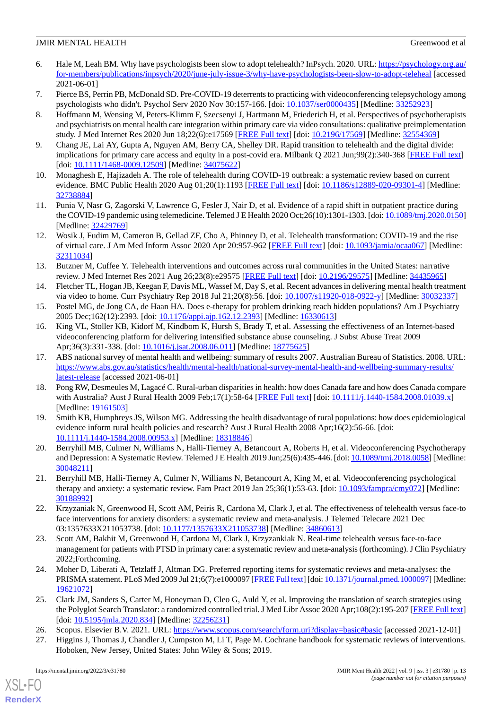- <span id="page-13-0"></span>6. Hale M, Leah BM. Why have psychologists been slow to adopt telehealth? InPsych. 2020. URL: [https://psychology.org.au/](https://psychology.org.au/for-members/publications/inpsych/2020/june-july-issue-3/why-have-psychologists-been-slow-to-adopt-teleheal) [for-members/publications/inpsych/2020/june-july-issue-3/why-have-psychologists-been-slow-to-adopt-teleheal](https://psychology.org.au/for-members/publications/inpsych/2020/june-july-issue-3/why-have-psychologists-been-slow-to-adopt-teleheal) [accessed 2021-06-01]
- <span id="page-13-2"></span><span id="page-13-1"></span>7. Pierce BS, Perrin PB, McDonald SD. Pre-COVID-19 deterrents to practicing with videoconferencing telepsychology among psychologists who didn't. Psychol Serv 2020 Nov 30:157-166. [doi: [10.1037/ser0000435](http://dx.doi.org/10.1037/ser0000435)] [Medline: [33252923\]](http://www.ncbi.nlm.nih.gov/entrez/query.fcgi?cmd=Retrieve&db=PubMed&list_uids=33252923&dopt=Abstract)
- 8. Hoffmann M, Wensing M, Peters-Klimm F, Szecsenyi J, Hartmann M, Friederich H, et al. Perspectives of psychotherapists and psychiatrists on mental health care integration within primary care via video consultations: qualitative preimplementation study. J Med Internet Res 2020 Jun 18;22(6):e17569 [\[FREE Full text\]](https://www.jmir.org/2020/6/e17569/) [doi: [10.2196/17569](http://dx.doi.org/10.2196/17569)] [Medline: [32554369\]](http://www.ncbi.nlm.nih.gov/entrez/query.fcgi?cmd=Retrieve&db=PubMed&list_uids=32554369&dopt=Abstract)
- <span id="page-13-3"></span>9. Chang JE, Lai AY, Gupta A, Nguyen AM, Berry CA, Shelley DR. Rapid transition to telehealth and the digital divide: implications for primary care access and equity in a post-covid era. Milbank Q 2021 Jun;99(2):340-368 [\[FREE Full text\]](https://doi.org/10.1111/1468-0009.12509) [doi: [10.1111/1468-0009.12509](http://dx.doi.org/10.1111/1468-0009.12509)] [Medline: [34075622\]](http://www.ncbi.nlm.nih.gov/entrez/query.fcgi?cmd=Retrieve&db=PubMed&list_uids=34075622&dopt=Abstract)
- 10. Monaghesh E, Hajizadeh A. The role of telehealth during COVID-19 outbreak: a systematic review based on current evidence. BMC Public Health 2020 Aug 01;20(1):1193 [\[FREE Full text](https://bmcpublichealth.biomedcentral.com/articles/10.1186/s12889-020-09301-4)] [doi: [10.1186/s12889-020-09301-4\]](http://dx.doi.org/10.1186/s12889-020-09301-4) [Medline: [32738884](http://www.ncbi.nlm.nih.gov/entrez/query.fcgi?cmd=Retrieve&db=PubMed&list_uids=32738884&dopt=Abstract)]
- <span id="page-13-4"></span>11. Punia V, Nasr G, Zagorski V, Lawrence G, Fesler J, Nair D, et al. Evidence of a rapid shift in outpatient practice during the COVID-19 pandemic using telemedicine. Telemed J E Health 2020 Oct;26(10):1301-1303. [doi: [10.1089/tmj.2020.0150\]](http://dx.doi.org/10.1089/tmj.2020.0150) [Medline: [32429769](http://www.ncbi.nlm.nih.gov/entrez/query.fcgi?cmd=Retrieve&db=PubMed&list_uids=32429769&dopt=Abstract)]
- <span id="page-13-5"></span>12. Wosik J, Fudim M, Cameron B, Gellad ZF, Cho A, Phinney D, et al. Telehealth transformation: COVID-19 and the rise of virtual care. J Am Med Inform Assoc 2020 Apr 20:957-962 [\[FREE Full text](http://europepmc.org/abstract/MED/32311034)] [doi: [10.1093/jamia/ocaa067](http://dx.doi.org/10.1093/jamia/ocaa067)] [Medline: [32311034](http://www.ncbi.nlm.nih.gov/entrez/query.fcgi?cmd=Retrieve&db=PubMed&list_uids=32311034&dopt=Abstract)]
- <span id="page-13-7"></span><span id="page-13-6"></span>13. Butzner M, Cuffee Y. Telehealth interventions and outcomes across rural communities in the United States: narrative review. J Med Internet Res 2021 Aug 26;23(8):e29575 [[FREE Full text](https://www.jmir.org/2021/8/e29575/)] [doi: [10.2196/29575](http://dx.doi.org/10.2196/29575)] [Medline: [34435965](http://www.ncbi.nlm.nih.gov/entrez/query.fcgi?cmd=Retrieve&db=PubMed&list_uids=34435965&dopt=Abstract)]
- <span id="page-13-8"></span>14. Fletcher TL, Hogan JB, Keegan F, Davis ML, Wassef M, Day S, et al. Recent advances in delivering mental health treatment via video to home. Curr Psychiatry Rep 2018 Jul 21;20(8):56. [doi: [10.1007/s11920-018-0922-y](http://dx.doi.org/10.1007/s11920-018-0922-y)] [Medline: [30032337\]](http://www.ncbi.nlm.nih.gov/entrez/query.fcgi?cmd=Retrieve&db=PubMed&list_uids=30032337&dopt=Abstract)
- 15. Postel MG, de Jong CA, de Haan HA. Does e-therapy for problem drinking reach hidden populations? Am J Psychiatry 2005 Dec;162(12):2393. [doi: [10.1176/appi.ajp.162.12.2393](http://dx.doi.org/10.1176/appi.ajp.162.12.2393)] [Medline: [16330613](http://www.ncbi.nlm.nih.gov/entrez/query.fcgi?cmd=Retrieve&db=PubMed&list_uids=16330613&dopt=Abstract)]
- <span id="page-13-9"></span>16. King VL, Stoller KB, Kidorf M, Kindbom K, Hursh S, Brady T, et al. Assessing the effectiveness of an Internet-based videoconferencing platform for delivering intensified substance abuse counseling. J Subst Abuse Treat 2009 Apr;36(3):331-338. [doi: [10.1016/j.jsat.2008.06.011\]](http://dx.doi.org/10.1016/j.jsat.2008.06.011) [Medline: [18775625\]](http://www.ncbi.nlm.nih.gov/entrez/query.fcgi?cmd=Retrieve&db=PubMed&list_uids=18775625&dopt=Abstract)
- 17. ABS national survey of mental health and wellbeing: summary of results 2007. Australian Bureau of Statistics. 2008. URL: [https://www.abs.gov.au/statistics/health/mental-health/national-survey-mental-health-and-wellbeing-summary-results/](https://www.abs.gov.au/statistics/health/mental-health/national-survey-mental-health-and-wellbeing-summary-results/latest-release) [latest-release](https://www.abs.gov.au/statistics/health/mental-health/national-survey-mental-health-and-wellbeing-summary-results/latest-release) [accessed 2021-06-01]
- <span id="page-13-10"></span>18. Pong RW, Desmeules M, Lagacé C. Rural-urban disparities in health: how does Canada fare and how does Canada compare with Australia? Aust J Rural Health 2009 Feb;17(1):58-64 [[FREE Full text](https://doi.org/10.1111/j.1440-1584.2008.01039.x)] [doi: [10.1111/j.1440-1584.2008.01039.x\]](http://dx.doi.org/10.1111/j.1440-1584.2008.01039.x) [Medline: [19161503](http://www.ncbi.nlm.nih.gov/entrez/query.fcgi?cmd=Retrieve&db=PubMed&list_uids=19161503&dopt=Abstract)]
- <span id="page-13-12"></span><span id="page-13-11"></span>19. Smith KB, Humphreys JS, Wilson MG. Addressing the health disadvantage of rural populations: how does epidemiological evidence inform rural health policies and research? Aust J Rural Health 2008 Apr;16(2):56-66. [doi: [10.1111/j.1440-1584.2008.00953.x\]](http://dx.doi.org/10.1111/j.1440-1584.2008.00953.x) [Medline: [18318846\]](http://www.ncbi.nlm.nih.gov/entrez/query.fcgi?cmd=Retrieve&db=PubMed&list_uids=18318846&dopt=Abstract)
- <span id="page-13-13"></span>20. Berryhill MB, Culmer N, Williams N, Halli-Tierney A, Betancourt A, Roberts H, et al. Videoconferencing Psychotherapy and Depression: A Systematic Review. Telemed J E Health 2019 Jun;25(6):435-446. [doi: [10.1089/tmj.2018.0058\]](http://dx.doi.org/10.1089/tmj.2018.0058) [Medline: [30048211](http://www.ncbi.nlm.nih.gov/entrez/query.fcgi?cmd=Retrieve&db=PubMed&list_uids=30048211&dopt=Abstract)]
- <span id="page-13-14"></span>21. Berryhill MB, Halli-Tierney A, Culmer N, Williams N, Betancourt A, King M, et al. Videoconferencing psychological therapy and anxiety: a systematic review. Fam Pract 2019 Jan 25;36(1):53-63. [doi: [10.1093/fampra/cmy072](http://dx.doi.org/10.1093/fampra/cmy072)] [Medline: [30188992](http://www.ncbi.nlm.nih.gov/entrez/query.fcgi?cmd=Retrieve&db=PubMed&list_uids=30188992&dopt=Abstract)]
- <span id="page-13-15"></span>22. Krzyzaniak N, Greenwood H, Scott AM, Peiris R, Cardona M, Clark J, et al. The effectiveness of telehealth versus face-to face interventions for anxiety disorders: a systematic review and meta-analysis. J Telemed Telecare 2021 Dec 03:1357633X211053738. [doi: [10.1177/1357633X211053738](http://dx.doi.org/10.1177/1357633X211053738)] [Medline: [34860613](http://www.ncbi.nlm.nih.gov/entrez/query.fcgi?cmd=Retrieve&db=PubMed&list_uids=34860613&dopt=Abstract)]
- <span id="page-13-16"></span>23. Scott AM, Bakhit M, Greenwood H, Cardona M, Clark J, Krzyzankiak N. Real-time telehealth versus face-to-face management for patients with PTSD in primary care: a systematic review and meta-analysis (forthcoming). J Clin Psychiatry 2022;Forthcoming.
- <span id="page-13-18"></span><span id="page-13-17"></span>24. Moher D, Liberati A, Tetzlaff J, Altman DG. Preferred reporting items for systematic reviews and meta-analyses: the PRISMA statement. PLoS Med 2009 Jul 21;6(7):e1000097 [\[FREE Full text\]](http://dx.plos.org/10.1371/journal.pmed.1000097) [doi: [10.1371/journal.pmed.1000097\]](http://dx.doi.org/10.1371/journal.pmed.1000097) [Medline: [19621072](http://www.ncbi.nlm.nih.gov/entrez/query.fcgi?cmd=Retrieve&db=PubMed&list_uids=19621072&dopt=Abstract)]
- 25. Clark JM, Sanders S, Carter M, Honeyman D, Cleo G, Auld Y, et al. Improving the translation of search strategies using the Polyglot Search Translator: a randomized controlled trial. J Med Libr Assoc 2020 Apr;108(2):195-207 [\[FREE Full text](http://europepmc.org/abstract/MED/32256231)] [doi: [10.5195/jmla.2020.834\]](http://dx.doi.org/10.5195/jmla.2020.834) [Medline: [32256231\]](http://www.ncbi.nlm.nih.gov/entrez/query.fcgi?cmd=Retrieve&db=PubMed&list_uids=32256231&dopt=Abstract)
- 26. Scopus. Elsevier B.V. 2021. URL: <https://www.scopus.com/search/form.uri?display=basic#basic> [accessed 2021-12-01]
- 27. Higgins J, Thomas J, Chandler J, Cumpston M, Li T, Page M. Cochrane handbook for systematic reviews of interventions. Hoboken, New Jersey, United States: John Wiley & Sons; 2019.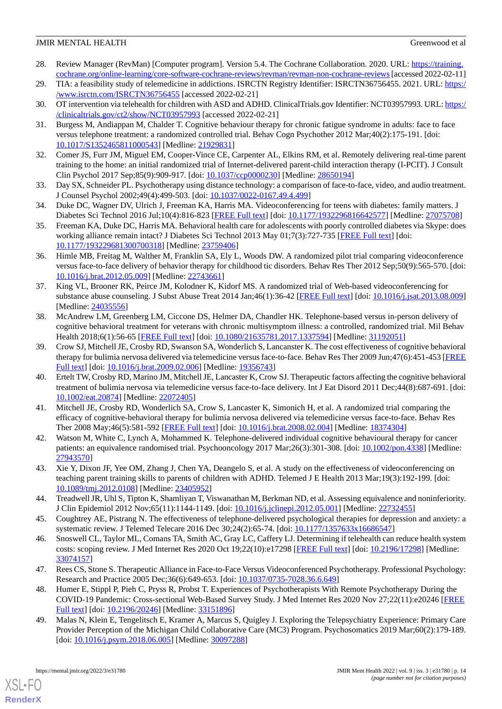- <span id="page-14-0"></span>28. Review Manager (RevMan) [Computer program]. Version 5.4. The Cochrane Collaboration. 2020. URL: [https://training.](https://training.cochrane.org/online-learning/core-software-cochrane-reviews/revman/revman-non-cochrane-reviews) [cochrane.org/online-learning/core-software-cochrane-reviews/revman/revman-non-cochrane-reviews](https://training.cochrane.org/online-learning/core-software-cochrane-reviews/revman/revman-non-cochrane-reviews)[accessed 2022-02-11]
- <span id="page-14-2"></span><span id="page-14-1"></span>29. TIA: a feasibility study of telemedicine in addictions. ISRCTN Registry Identifier: ISRCTN36756455. 2021. URL: [https:/](https://www.isrctn.com/ISRCTN36756455) [/www.isrctn.com/ISRCTN36756455](https://www.isrctn.com/ISRCTN36756455) [accessed 2022-02-21]
- <span id="page-14-3"></span>30. OT intervention via telehealth for children with ASD and ADHD. ClinicalTrials.gov Identifier: NCT03957993. URL: [https:/](https://clinicaltrials.gov/ct2/show/NCT03957993) [/clinicaltrials.gov/ct2/show/NCT03957993](https://clinicaltrials.gov/ct2/show/NCT03957993) [accessed 2022-02-21]
- <span id="page-14-4"></span>31. Burgess M, Andiappan M, Chalder T. Cognitive behaviour therapy for chronic fatigue syndrome in adults: face to face versus telephone treatment: a randomized controlled trial. Behav Cogn Psychother 2012 Mar;40(2):175-191. [doi: [10.1017/S1352465811000543](http://dx.doi.org/10.1017/S1352465811000543)] [Medline: [21929831](http://www.ncbi.nlm.nih.gov/entrez/query.fcgi?cmd=Retrieve&db=PubMed&list_uids=21929831&dopt=Abstract)]
- <span id="page-14-5"></span>32. Comer JS, Furr JM, Miguel EM, Cooper-Vince CE, Carpenter AL, Elkins RM, et al. Remotely delivering real-time parent training to the home: an initial randomized trial of Internet-delivered parent-child interaction therapy (I-PCIT). J Consult Clin Psychol 2017 Sep;85(9):909-917. [doi: [10.1037/ccp0000230](http://dx.doi.org/10.1037/ccp0000230)] [Medline: [28650194\]](http://www.ncbi.nlm.nih.gov/entrez/query.fcgi?cmd=Retrieve&db=PubMed&list_uids=28650194&dopt=Abstract)
- <span id="page-14-6"></span>33. Day SX, Schneider PL. Psychotherapy using distance technology: a comparison of face-to-face, video, and audio treatment. J Counsel Psychol 2002;49(4):499-503. [doi: [10.1037/0022-0167.49.4.499](http://dx.doi.org/10.1037/0022-0167.49.4.499)]
- <span id="page-14-7"></span>34. Duke DC, Wagner DV, Ulrich J, Freeman KA, Harris MA. Videoconferencing for teens with diabetes: family matters. J Diabetes Sci Technol 2016 Jul;10(4):816-823 [\[FREE Full text\]](http://europepmc.org/abstract/MED/27075708) [doi: [10.1177/1932296816642577](http://dx.doi.org/10.1177/1932296816642577)] [Medline: [27075708](http://www.ncbi.nlm.nih.gov/entrez/query.fcgi?cmd=Retrieve&db=PubMed&list_uids=27075708&dopt=Abstract)]
- <span id="page-14-8"></span>35. Freeman KA, Duke DC, Harris MA. Behavioral health care for adolescents with poorly controlled diabetes via Skype: does working alliance remain intact? J Diabetes Sci Technol 2013 May 01;7(3):727-735 [[FREE Full text](http://europepmc.org/abstract/MED/23759406)] [doi: [10.1177/193229681300700318\]](http://dx.doi.org/10.1177/193229681300700318) [Medline: [23759406\]](http://www.ncbi.nlm.nih.gov/entrez/query.fcgi?cmd=Retrieve&db=PubMed&list_uids=23759406&dopt=Abstract)
- <span id="page-14-9"></span>36. Himle MB, Freitag M, Walther M, Franklin SA, Ely L, Woods DW. A randomized pilot trial comparing videoconference versus face-to-face delivery of behavior therapy for childhood tic disorders. Behav Res Ther 2012 Sep;50(9):565-570. [doi: [10.1016/j.brat.2012.05.009](http://dx.doi.org/10.1016/j.brat.2012.05.009)] [Medline: [22743661\]](http://www.ncbi.nlm.nih.gov/entrez/query.fcgi?cmd=Retrieve&db=PubMed&list_uids=22743661&dopt=Abstract)
- <span id="page-14-10"></span>37. King VL, Brooner RK, Peirce JM, Kolodner K, Kidorf MS. A randomized trial of Web-based videoconferencing for substance abuse counseling. J Subst Abuse Treat 2014 Jan;46(1):36-42 [\[FREE Full text](http://europepmc.org/abstract/MED/24035556)] [doi: [10.1016/j.jsat.2013.08.009](http://dx.doi.org/10.1016/j.jsat.2013.08.009)] [Medline: [24035556](http://www.ncbi.nlm.nih.gov/entrez/query.fcgi?cmd=Retrieve&db=PubMed&list_uids=24035556&dopt=Abstract)]
- <span id="page-14-11"></span>38. McAndrew LM, Greenberg LM, Ciccone DS, Helmer DA, Chandler HK. Telephone-based versus in-person delivery of cognitive behavioral treatment for veterans with chronic multisymptom illness: a controlled, randomized trial. Mil Behav Health 2018;6(1):56-65 [\[FREE Full text\]](http://europepmc.org/abstract/MED/31192051) [doi: [10.1080/21635781.2017.1337594\]](http://dx.doi.org/10.1080/21635781.2017.1337594) [Medline: [31192051\]](http://www.ncbi.nlm.nih.gov/entrez/query.fcgi?cmd=Retrieve&db=PubMed&list_uids=31192051&dopt=Abstract)
- <span id="page-14-12"></span>39. Crow SJ, Mitchell JE, Crosby RD, Swanson SA, Wonderlich S, Lancanster K. The cost effectiveness of cognitive behavioral therapy for bulimia nervosa delivered via telemedicine versus face-to-face. Behav Res Ther 2009 Jun;47(6):451-453 [\[FREE](http://europepmc.org/abstract/MED/19356743) [Full text\]](http://europepmc.org/abstract/MED/19356743) [doi: [10.1016/j.brat.2009.02.006\]](http://dx.doi.org/10.1016/j.brat.2009.02.006) [Medline: [19356743\]](http://www.ncbi.nlm.nih.gov/entrez/query.fcgi?cmd=Retrieve&db=PubMed&list_uids=19356743&dopt=Abstract)
- <span id="page-14-13"></span>40. Ertelt TW, Crosby RD, Marino JM, Mitchell JE, Lancaster K, Crow SJ. Therapeutic factors affecting the cognitive behavioral treatment of bulimia nervosa via telemedicine versus face-to-face delivery. Int J Eat Disord 2011 Dec;44(8):687-691. [doi: [10.1002/eat.20874\]](http://dx.doi.org/10.1002/eat.20874) [Medline: [22072405\]](http://www.ncbi.nlm.nih.gov/entrez/query.fcgi?cmd=Retrieve&db=PubMed&list_uids=22072405&dopt=Abstract)
- <span id="page-14-15"></span><span id="page-14-14"></span>41. Mitchell JE, Crosby RD, Wonderlich SA, Crow S, Lancaster K, Simonich H, et al. A randomized trial comparing the efficacy of cognitive-behavioral therapy for bulimia nervosa delivered via telemedicine versus face-to-face. Behav Res Ther 2008 May;46(5):581-592 [\[FREE Full text\]](http://europepmc.org/abstract/MED/18374304) [doi: [10.1016/j.brat.2008.02.004](http://dx.doi.org/10.1016/j.brat.2008.02.004)] [Medline: [18374304](http://www.ncbi.nlm.nih.gov/entrez/query.fcgi?cmd=Retrieve&db=PubMed&list_uids=18374304&dopt=Abstract)]
- <span id="page-14-16"></span>42. Watson M, White C, Lynch A, Mohammed K. Telephone-delivered individual cognitive behavioural therapy for cancer patients: an equivalence randomised trial. Psychooncology 2017 Mar;26(3):301-308. [doi: [10.1002/pon.4338](http://dx.doi.org/10.1002/pon.4338)] [Medline: [27943570](http://www.ncbi.nlm.nih.gov/entrez/query.fcgi?cmd=Retrieve&db=PubMed&list_uids=27943570&dopt=Abstract)]
- <span id="page-14-17"></span>43. Xie Y, Dixon JF, Yee OM, Zhang J, Chen YA, Deangelo S, et al. A study on the effectiveness of videoconferencing on teaching parent training skills to parents of children with ADHD. Telemed J E Health 2013 Mar;19(3):192-199. [doi: [10.1089/tmj.2012.0108](http://dx.doi.org/10.1089/tmj.2012.0108)] [Medline: [23405952\]](http://www.ncbi.nlm.nih.gov/entrez/query.fcgi?cmd=Retrieve&db=PubMed&list_uids=23405952&dopt=Abstract)
- <span id="page-14-18"></span>44. Treadwell JR, Uhl S, Tipton K, Shamliyan T, Viswanathan M, Berkman ND, et al. Assessing equivalence and noninferiority. J Clin Epidemiol 2012 Nov;65(11):1144-1149. [doi: [10.1016/j.jclinepi.2012.05.001](http://dx.doi.org/10.1016/j.jclinepi.2012.05.001)] [Medline: [22732455](http://www.ncbi.nlm.nih.gov/entrez/query.fcgi?cmd=Retrieve&db=PubMed&list_uids=22732455&dopt=Abstract)]
- <span id="page-14-19"></span>45. Coughtrey AE, Pistrang N. The effectiveness of telephone-delivered psychological therapies for depression and anxiety: a systematic review. J Telemed Telecare 2016 Dec 30;24(2):65-74. [doi: [10.1177/1357633x16686547](http://dx.doi.org/10.1177/1357633x16686547)]
- <span id="page-14-20"></span>46. Snoswell CL, Taylor ML, Comans TA, Smith AC, Gray LC, Caffery LJ. Determining if telehealth can reduce health system costs: scoping review. J Med Internet Res 2020 Oct 19;22(10):e17298 [[FREE Full text](https://www.jmir.org/2020/10/e17298/)] [doi: [10.2196/17298\]](http://dx.doi.org/10.2196/17298) [Medline: [33074157](http://www.ncbi.nlm.nih.gov/entrez/query.fcgi?cmd=Retrieve&db=PubMed&list_uids=33074157&dopt=Abstract)]
- <span id="page-14-21"></span>47. Rees CS, Stone S. Therapeutic Alliance in Face-to-Face Versus Videoconferenced Psychotherapy. Professional Psychology: Research and Practice 2005 Dec;36(6):649-653. [doi: [10.1037/0735-7028.36.6.649\]](http://dx.doi.org/10.1037/0735-7028.36.6.649)
- 48. Humer E, Stippl P, Pieh C, Pryss R, Probst T. Experiences of Psychotherapists With Remote Psychotherapy During the COVID-19 Pandemic: Cross-sectional Web-Based Survey Study. J Med Internet Res 2020 Nov 27;22(11):e20246 [[FREE](https://www.jmir.org/2020/11/e20246/) [Full text\]](https://www.jmir.org/2020/11/e20246/) [doi: [10.2196/20246\]](http://dx.doi.org/10.2196/20246) [Medline: [33151896](http://www.ncbi.nlm.nih.gov/entrez/query.fcgi?cmd=Retrieve&db=PubMed&list_uids=33151896&dopt=Abstract)]
- 49. Malas N, Klein E, Tengelitsch E, Kramer A, Marcus S, Quigley J. Exploring the Telepsychiatry Experience: Primary Care Provider Perception of the Michigan Child Collaborative Care (MC3) Program. Psychosomatics 2019 Mar;60(2):179-189. [doi: [10.1016/j.psym.2018.06.005\]](http://dx.doi.org/10.1016/j.psym.2018.06.005) [Medline: [30097288](http://www.ncbi.nlm.nih.gov/entrez/query.fcgi?cmd=Retrieve&db=PubMed&list_uids=30097288&dopt=Abstract)]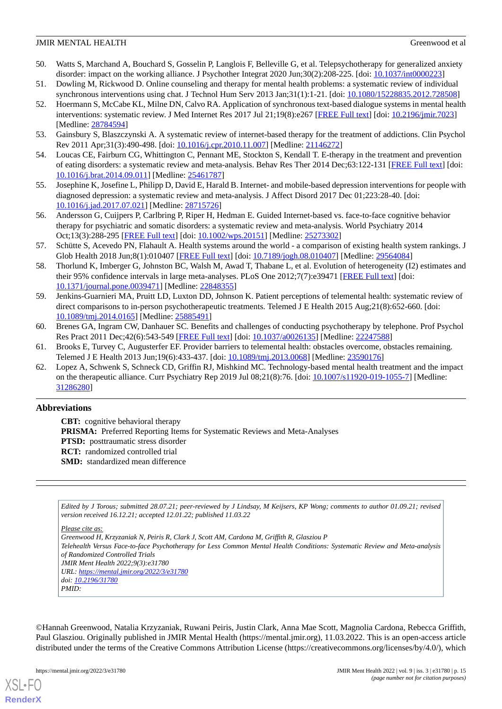- <span id="page-15-0"></span>50. Watts S, Marchand A, Bouchard S, Gosselin P, Langlois F, Belleville G, et al. Telepsychotherapy for generalized anxiety disorder: impact on the working alliance. J Psychother Integrat 2020 Jun;30(2):208-225. [doi: [10.1037/int0000223](http://dx.doi.org/10.1037/int0000223)]
- <span id="page-15-2"></span><span id="page-15-1"></span>51. Dowling M, Rickwood D. Online counseling and therapy for mental health problems: a systematic review of individual synchronous interventions using chat. J Technol Hum Serv 2013 Jan;31(1):1-21. [doi: [10.1080/15228835.2012.728508](http://dx.doi.org/10.1080/15228835.2012.728508)]
- 52. Hoermann S, McCabe KL, Milne DN, Calvo RA. Application of synchronous text-based dialogue systems in mental health interventions: systematic review. J Med Internet Res 2017 Jul 21;19(8):e267 [\[FREE Full text\]](http://www.jmir.org/2017/8/e267/) [doi: [10.2196/jmir.7023\]](http://dx.doi.org/10.2196/jmir.7023) [Medline: [28784594](http://www.ncbi.nlm.nih.gov/entrez/query.fcgi?cmd=Retrieve&db=PubMed&list_uids=28784594&dopt=Abstract)]
- <span id="page-15-4"></span><span id="page-15-3"></span>53. Gainsbury S, Blaszczynski A. A systematic review of internet-based therapy for the treatment of addictions. Clin Psychol Rev 2011 Apr;31(3):490-498. [doi: [10.1016/j.cpr.2010.11.007](http://dx.doi.org/10.1016/j.cpr.2010.11.007)] [Medline: [21146272\]](http://www.ncbi.nlm.nih.gov/entrez/query.fcgi?cmd=Retrieve&db=PubMed&list_uids=21146272&dopt=Abstract)
- <span id="page-15-5"></span>54. Loucas CE, Fairburn CG, Whittington C, Pennant ME, Stockton S, Kendall T. E-therapy in the treatment and prevention of eating disorders: a systematic review and meta-analysis. Behav Res Ther 2014 Dec;63:122-131 [\[FREE Full text](https://linkinghub.elsevier.com/retrieve/pii/S0005-7967(14)00162-4)] [doi: [10.1016/j.brat.2014.09.011](http://dx.doi.org/10.1016/j.brat.2014.09.011)] [Medline: [25461787\]](http://www.ncbi.nlm.nih.gov/entrez/query.fcgi?cmd=Retrieve&db=PubMed&list_uids=25461787&dopt=Abstract)
- <span id="page-15-6"></span>55. Josephine K, Josefine L, Philipp D, David E, Harald B. Internet- and mobile-based depression interventions for people with diagnosed depression: a systematic review and meta-analysis. J Affect Disord 2017 Dec 01;223:28-40. [doi: [10.1016/j.jad.2017.07.021\]](http://dx.doi.org/10.1016/j.jad.2017.07.021) [Medline: [28715726\]](http://www.ncbi.nlm.nih.gov/entrez/query.fcgi?cmd=Retrieve&db=PubMed&list_uids=28715726&dopt=Abstract)
- <span id="page-15-7"></span>56. Andersson G, Cuijpers P, Carlbring P, Riper H, Hedman E. Guided Internet-based vs. face-to-face cognitive behavior therapy for psychiatric and somatic disorders: a systematic review and meta-analysis. World Psychiatry 2014 Oct;13(3):288-295 [\[FREE Full text\]](http://dx.doi.org/10.1002/wps.20151) [doi: [10.1002/wps.20151\]](http://dx.doi.org/10.1002/wps.20151) [Medline: [25273302\]](http://www.ncbi.nlm.nih.gov/entrez/query.fcgi?cmd=Retrieve&db=PubMed&list_uids=25273302&dopt=Abstract)
- <span id="page-15-8"></span>57. Schütte S, Acevedo PN, Flahault A. Health systems around the world - a comparison of existing health system rankings. J Glob Health 2018 Jun;8(1):010407 [[FREE Full text](https://doi.org/10.7189/jogh.08.010407)] [doi: [10.7189/jogh.08.010407](http://dx.doi.org/10.7189/jogh.08.010407)] [Medline: [29564084](http://www.ncbi.nlm.nih.gov/entrez/query.fcgi?cmd=Retrieve&db=PubMed&list_uids=29564084&dopt=Abstract)]
- <span id="page-15-9"></span>58. Thorlund K, Imberger G, Johnston BC, Walsh M, Awad T, Thabane L, et al. Evolution of heterogeneity (I2) estimates and their 95% confidence intervals in large meta-analyses. PLoS One 2012;7(7):e39471 [[FREE Full text](https://dx.plos.org/10.1371/journal.pone.0039471)] [doi: [10.1371/journal.pone.0039471\]](http://dx.doi.org/10.1371/journal.pone.0039471) [Medline: [22848355](http://www.ncbi.nlm.nih.gov/entrez/query.fcgi?cmd=Retrieve&db=PubMed&list_uids=22848355&dopt=Abstract)]
- <span id="page-15-10"></span>59. Jenkins-Guarnieri MA, Pruitt LD, Luxton DD, Johnson K. Patient perceptions of telemental health: systematic review of direct comparisons to in-person psychotherapeutic treatments. Telemed J E Health 2015 Aug;21(8):652-660. [doi: [10.1089/tmj.2014.0165](http://dx.doi.org/10.1089/tmj.2014.0165)] [Medline: [25885491\]](http://www.ncbi.nlm.nih.gov/entrez/query.fcgi?cmd=Retrieve&db=PubMed&list_uids=25885491&dopt=Abstract)
- <span id="page-15-11"></span>60. Brenes GA, Ingram CW, Danhauer SC. Benefits and challenges of conducting psychotherapy by telephone. Prof Psychol Res Pract 2011 Dec;42(6):543-549 [\[FREE Full text](http://europepmc.org/abstract/MED/22247588)] [doi: [10.1037/a0026135](http://dx.doi.org/10.1037/a0026135)] [Medline: [22247588](http://www.ncbi.nlm.nih.gov/entrez/query.fcgi?cmd=Retrieve&db=PubMed&list_uids=22247588&dopt=Abstract)]
- 61. Brooks E, Turvey C, Augusterfer EF. Provider barriers to telemental health: obstacles overcome, obstacles remaining. Telemed J E Health 2013 Jun;19(6):433-437. [doi: [10.1089/tmj.2013.0068](http://dx.doi.org/10.1089/tmj.2013.0068)] [Medline: [23590176](http://www.ncbi.nlm.nih.gov/entrez/query.fcgi?cmd=Retrieve&db=PubMed&list_uids=23590176&dopt=Abstract)]
- 62. Lopez A, Schwenk S, Schneck CD, Griffin RJ, Mishkind MC. Technology-based mental health treatment and the impact on the therapeutic alliance. Curr Psychiatry Rep 2019 Jul 08;21(8):76. [doi: [10.1007/s11920-019-1055-7](http://dx.doi.org/10.1007/s11920-019-1055-7)] [Medline: [31286280](http://www.ncbi.nlm.nih.gov/entrez/query.fcgi?cmd=Retrieve&db=PubMed&list_uids=31286280&dopt=Abstract)]

### **Abbreviations**

**CBT:** cognitive behavioral therapy PRISMA: Preferred Reporting Items for Systematic Reviews and Meta-Analyses **PTSD:** posttraumatic stress disorder **RCT:** randomized controlled trial **SMD:** standardized mean difference

*Edited by J Torous; submitted 28.07.21; peer-reviewed by J Lindsay, M Keijsers, KP Wong; comments to author 01.09.21; revised version received 16.12.21; accepted 12.01.22; published 11.03.22*

*Please cite as:*

*Greenwood H, Krzyzaniak N, Peiris R, Clark J, Scott AM, Cardona M, Griffith R, Glasziou P*

*Telehealth Versus Face-to-face Psychotherapy for Less Common Mental Health Conditions: Systematic Review and Meta-analysis of Randomized Controlled Trials*

*JMIR Ment Health 2022;9(3):e31780 URL: <https://mental.jmir.org/2022/3/e31780> doi: [10.2196/31780](http://dx.doi.org/10.2196/31780)*

*PMID:*

©Hannah Greenwood, Natalia Krzyzaniak, Ruwani Peiris, Justin Clark, Anna Mae Scott, Magnolia Cardona, Rebecca Griffith, Paul Glasziou. Originally published in JMIR Mental Health (https://mental.jmir.org), 11.03.2022. This is an open-access article distributed under the terms of the Creative Commons Attribution License (https://creativecommons.org/licenses/by/4.0/), which